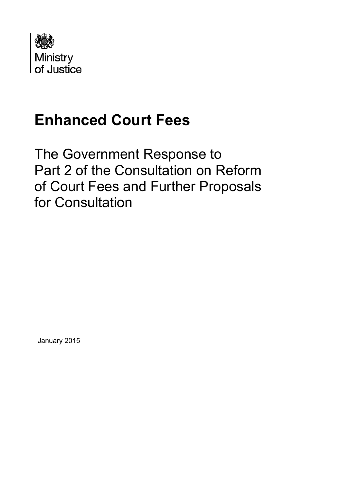

# **Enhanced Court Fees**

The Government Response to Part 2 of the Consultation on Reform of Court Fees and Further Proposals for Consultation

January 2015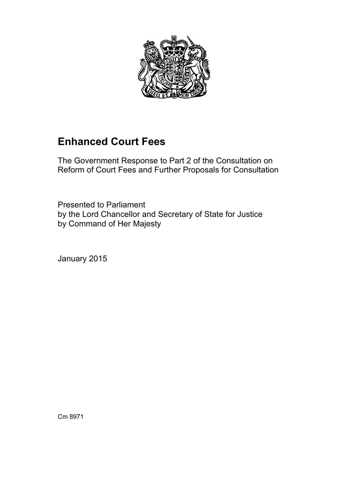

# **Enhanced Court Fees**

The Government Response to Part 2 of the Consultation on Reform of Court Fees and Further Proposals for Consultation

Presented to Parliament by the Lord Chancellor and Secretary of State for Justice by Command of Her Majesty

January 2015

Cm 8971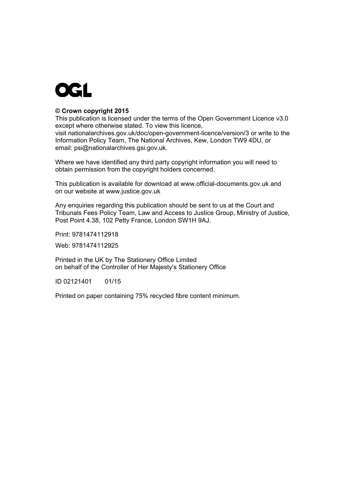

## **© Crown copyright 2015**

This publication is licensed under the terms of the Open Government Licence v3.0 except where otherwise stated. To view this licence, visit [nationalarchives.gov.uk/doc/open-government-licence/version/3](http://www.nationalarchives.gov.uk/doc/open-government-licence/version/3) or write to the Information Policy Team, The National Archives, Kew, London TW9 4DU, or email: [psi@nationalarchives.gsi.gov.uk.](mailto:psi@nationalarchives.gsi.gov.uk)

Where we have identified any third party copyright information you will need to obtain permission from the copyright holders concerned.

This publication is available for download at [www.official-documents.gov.uk](http://www.official-documents.gov.uk/) and on our website at [www.justice.gov.uk](http://www.justice.gov.uk/)

Any enquiries regarding this publication should be sent to us at the Court and Tribunals Fees Policy Team, Law and Access to Justice Group, Ministry of Justice, Post Point 4.38, 102 Petty France, London SW1H 9AJ.

Print: 9781474112918

Web: 9781474112925

Printed in the UK by The Stationery Office Limited on behalf of the Controller of Her Majesty's Stationery Office

ID 02121401 01/15

Printed on paper containing 75% recycled fibre content minimum.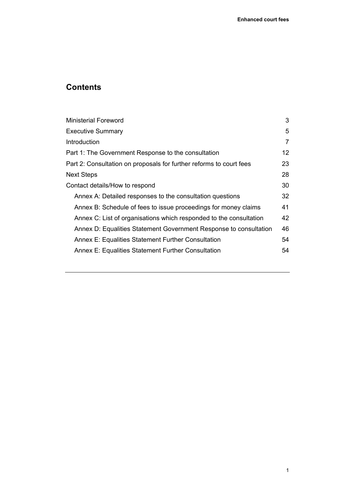# **Contents**

| <b>Ministerial Foreword</b>                                         | 3  |
|---------------------------------------------------------------------|----|
| <b>Executive Summary</b>                                            | 5  |
| Introduction                                                        | 7  |
| Part 1: The Government Response to the consultation                 | 12 |
| Part 2: Consultation on proposals for further reforms to court fees | 23 |
| <b>Next Steps</b>                                                   | 28 |
| Contact details/How to respond                                      | 30 |
| Annex A: Detailed responses to the consultation questions           | 32 |
| Annex B: Schedule of fees to issue proceedings for money claims     | 41 |
| Annex C: List of organisations which responded to the consultation  | 42 |
| Annex D: Equalities Statement Government Response to consultation   | 46 |
| <b>Annex E: Equalities Statement Further Consultation</b>           | 54 |
| <b>Annex E: Equalities Statement Further Consultation</b>           | 54 |
|                                                                     |    |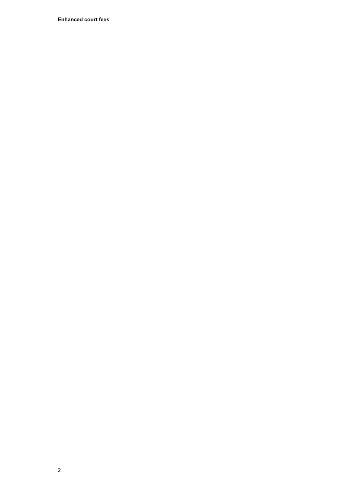**Enhanced court fees**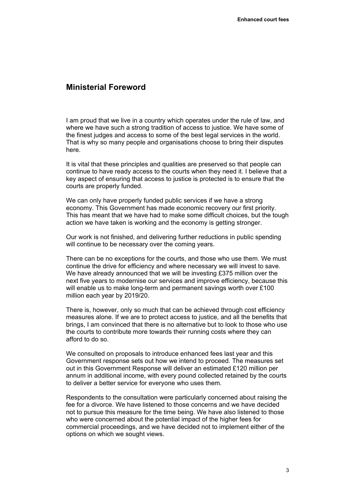## <span id="page-6-0"></span>**Ministerial Foreword**

I am proud that we live in a country which operates under the rule of law, and where we have such a strong tradition of access to justice. We have some of the finest judges and access to some of the best legal services in the world. That is why so many people and organisations choose to bring their disputes here.

It is vital that these principles and qualities are preserved so that people can continue to have ready access to the courts when they need it. I believe that a key aspect of ensuring that access to justice is protected is to ensure that the courts are properly funded.

We can only have properly funded public services if we have a strong economy. This Government has made economic recovery our first priority. This has meant that we have had to make some difficult choices, but the tough action we have taken is working and the economy is getting stronger.

Our work is not finished, and delivering further reductions in public spending will continue to be necessary over the coming years.

There can be no exceptions for the courts, and those who use them. We must continue the drive for efficiency and where necessary we will invest to save. We have already announced that we will be investing £375 million over the next five years to modernise our services and improve efficiency, because this will enable us to make long-term and permanent savings worth over £100 million each year by 2019/20.

There is, however, only so much that can be achieved through cost efficiency measures alone. If we are to protect access to justice, and all the benefits that brings, I am convinced that there is no alternative but to look to those who use the courts to contribute more towards their running costs where they can afford to do so.

We consulted on proposals to introduce enhanced fees last year and this Government response sets out how we intend to proceed. The measures set out in this Government Response will deliver an estimated £120 million per annum in additional income, with every pound collected retained by the courts to deliver a better service for everyone who uses them.

Respondents to the consultation were particularly concerned about raising the fee for a divorce. We have listened to those concerns and we have decided not to pursue this measure for the time being. We have also listened to those who were concerned about the potential impact of the higher fees for commercial proceedings, and we have decided not to implement either of the options on which we sought views.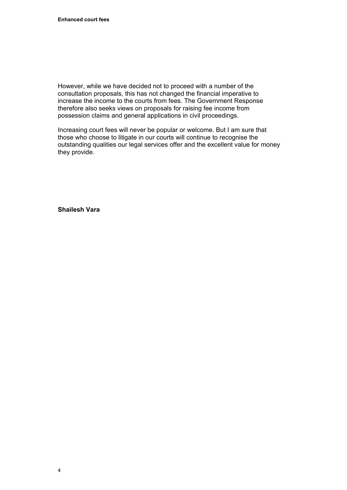However, while we have decided not to proceed with a number of the consultation proposals, this has not changed the financial imperative to increase the income to the courts from fees. The Government Response therefore also seeks views on proposals for raising fee income from possession claims and general applications in civil proceedings.

Increasing court fees will never be popular or welcome. But I am sure that those who choose to litigate in our courts will continue to recognise the outstanding qualities our legal services offer and the excellent value for money they provide.

**Shailesh Vara**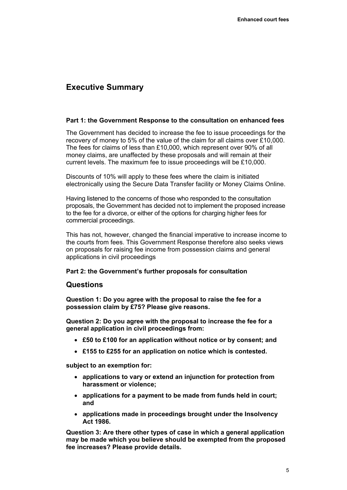## <span id="page-8-0"></span>**Executive Summary**

#### **Part 1: the Government Response to the consultation on enhanced fees**

The Government has decided to increase the fee to issue proceedings for the recovery of money to 5% of the value of the claim for all claims over £10,000. The fees for claims of less than £10,000, which represent over 90% of all money claims, are unaffected by these proposals and will remain at their current levels. The maximum fee to issue proceedings will be £10,000.

Discounts of 10% will apply to these fees where the claim is initiated electronically using the Secure Data Transfer facility or Money Claims Online.

Having listened to the concerns of those who responded to the consultation proposals, the Government has decided not to implement the proposed increase to the fee for a divorce, or either of the options for charging higher fees for commercial proceedings.

This has not, however, changed the financial imperative to increase income to the courts from fees. This Government Response therefore also seeks views on proposals for raising fee income from possession claims and general applications in civil proceedings

## **Part 2: the Government's further proposals for consultation**

## **Questions**

**Question 1: Do you agree with the proposal to raise the fee for a possession claim by £75? Please give reasons.** 

**Question 2: Do you agree with the proposal to increase the fee for a general application in civil proceedings from:** 

- **£50 to £100 for an application without notice or by consent; and**
- **£155 to £255 for an application on notice which is contested.**

**subject to an exemption for:** 

- **applications to vary or extend an injunction for protection from harassment or violence;**
- **applications for a payment to be made from funds held in court; and**
- **applications made in proceedings brought under the Insolvency Act 1986.**

**Question 3: Are there other types of case in which a general application may be made which you believe should be exempted from the proposed fee increases? Please provide details.**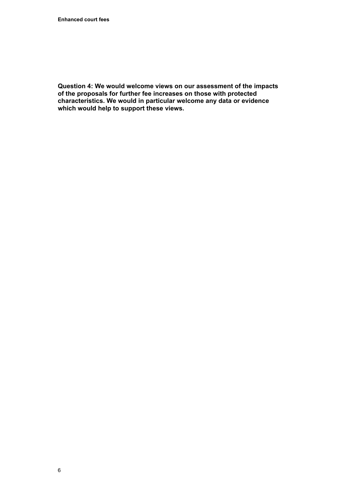**Question 4: We would welcome views on our assessment of the impacts of the proposals for further fee increases on those with protected characteristics. We would in particular welcome any data or evidence which would help to support these views.**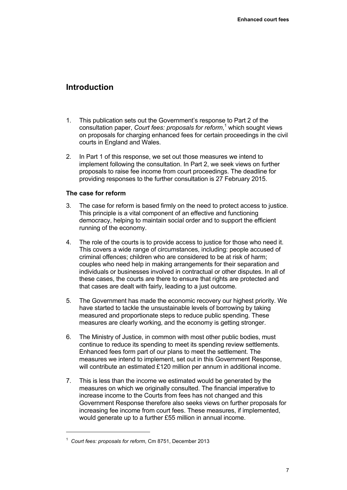## <span id="page-10-0"></span>**Introduction**

- 1. This publication sets out the Government's response to Part 2 of the consultation paper, *Court fees: proposals for reform*,<sup>1</sup> which sought views on proposals for charging enhanced fees for certain proceedings in the civil courts in England and Wales.
- 2. In Part 1 of this response, we set out those measures we intend to implement following the consultation. In Part 2, we seek views on further proposals to raise fee income from court proceedings. The deadline for providing responses to the further consultation is 27 February 2015.

## **The case for reform**

- 3. The case for reform is based firmly on the need to protect access to justice. This principle is a vital component of an effective and functioning democracy, helping to maintain social order and to support the efficient running of the economy.
- 4. The role of the courts is to provide access to justice for those who need it. This covers a wide range of circumstances, including: people accused of criminal offences; children who are considered to be at risk of harm; couples who need help in making arrangements for their separation and individuals or businesses involved in contractual or other disputes. In all of these cases, the courts are there to ensure that rights are protected and that cases are dealt with fairly, leading to a just outcome.
- 5. The Government has made the economic recovery our highest priority. We have started to tackle the unsustainable levels of borrowing by taking measured and proportionate steps to reduce public spending. These measures are clearly working, and the economy is getting stronger.
- 6. The Ministry of Justice, in common with most other public bodies, must continue to reduce its spending to meet its spending review settlements. Enhanced fees form part of our plans to meet the settlement. The measures we intend to implement, set out in this Government Response, will contribute an estimated £120 million per annum in additional income.
- 7. This is less than the income we estimated would be generated by the measures on which we originally consulted. The financial imperative to increase income to the Courts from fees has not changed and this Government Response therefore also seeks views on further proposals for increasing fee income from court fees. These measures, if implemented, would generate up to a further £55 million in annual income.

 $\overline{a}$ 

<sup>1</sup> *Court fees: proposals for reform*, Cm 8751, December 2013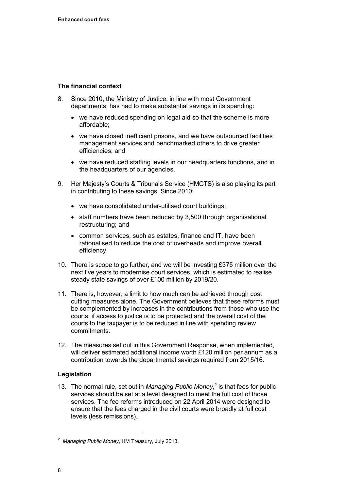## **The financial context**

- 8. Since 2010, the Ministry of Justice, in line with most Government departments, has had to make substantial savings in its spending:
	- we have reduced spending on legal aid so that the scheme is more affordable;
	- we have closed inefficient prisons, and we have outsourced facilities management services and benchmarked others to drive greater efficiencies; and
	- we have reduced staffing levels in our headquarters functions, and in the headquarters of our agencies.
- 9. Her Majesty's Courts & Tribunals Service (HMCTS) is also playing its part in contributing to these savings. Since 2010:
	- we have consolidated under-utilised court buildings;
	- staff numbers have been reduced by 3,500 through organisational restructuring; and
	- common services, such as estates, finance and IT, have been rationalised to reduce the cost of overheads and improve overall efficiency.
- 10. There is scope to go further, and we will be investing £375 million over the next five years to modernise court services, which is estimated to realise steady state savings of over £100 million by 2019/20.
- 11. There is, however, a limit to how much can be achieved through cost cutting measures alone. The Government believes that these reforms must be complemented by increases in the contributions from those who use the courts, if access to justice is to be protected and the overall cost of the courts to the taxpayer is to be reduced in line with spending review commitments.
- 12. The measures set out in this Government Response, when implemented, will deliver estimated additional income worth £120 million per annum as a contribution towards the departmental savings required from 2015/16.

## **Legislation**

13. The normal rule, set out in *Managing Public Money*,<sup>2</sup> is that fees for public services should be set at a level designed to meet the full cost of those services. The fee reforms introduced on 22 April 2014 were designed to ensure that the fees charged in the civil courts were broadly at full cost levels (less remissions).

 $\overline{a}$ 

<sup>2</sup> *Managing Public Money*, HM Treasury, July 2013.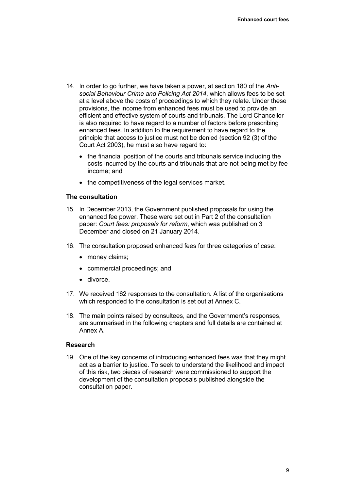- 14. In order to go further, we have taken a power, at section 180 of the *Antisocial Behaviour Crime and Policing Act 2014*, which allows fees to be set at a level above the costs of proceedings to which they relate. Under these provisions, the income from enhanced fees must be used to provide an efficient and effective system of courts and tribunals. The Lord Chancellor is also required to have regard to a number of factors before prescribing enhanced fees. In addition to the requirement to have regard to the principle that access to justice must not be denied (section 92 (3) of the Court Act 2003), he must also have regard to:
	- the financial position of the courts and tribunals service including the costs incurred by the courts and tribunals that are not being met by fee income; and
	- the competitiveness of the legal services market.

#### **The consultation**

- 15. In December 2013, the Government published proposals for using the enhanced fee power. These were set out in Part 2 of the consultation paper: *Court fees: proposals for reform*, which was published on 3 December and closed on 21 January 2014.
- 16. The consultation proposed enhanced fees for three categories of case:
	- money claims;
	- commercial proceedings; and
	- divorce.
- 17. We received 162 responses to the consultation. A list of the organisations which responded to the consultation is set out at Annex C.
- 18. The main points raised by consultees, and the Government's responses, are summarised in the following chapters and full details are contained at Annex A.

#### **Research**

19. One of the key concerns of introducing enhanced fees was that they might act as a barrier to justice. To seek to understand the likelihood and impact of this risk, two pieces of research were commissioned to support the development of the consultation proposals published alongside the consultation paper.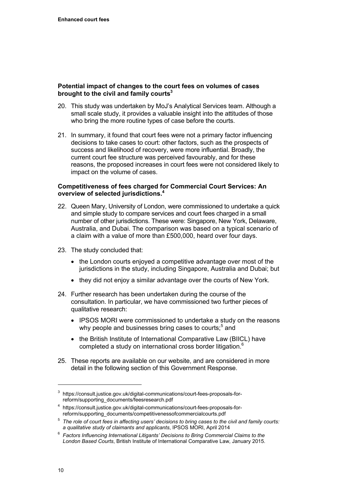## **Potential impact of changes to the court fees on volumes of cases brought to the civil and family courts3**

- 20. This study was undertaken by MoJ's Analytical Services team. Although a small scale study, it provides a valuable insight into the attitudes of those who bring the more routine types of case before the courts.
- 21. In summary, it found that court fees were not a primary factor influencing decisions to take cases to court: other factors, such as the prospects of success and likelihood of recovery, were more influential. Broadly, the current court fee structure was perceived favourably, and for these reasons, the proposed increases in court fees were not considered likely to impact on the volume of cases.

## **Competitiveness of fees charged for Commercial Court Services: An overview of selected jurisdictions.4**

- 22. Queen Mary, University of London, were commissioned to undertake a quick and simple study to compare services and court fees charged in a small number of other jurisdictions. These were: Singapore, New York, Delaware, Australia, and Dubai. The comparison was based on a typical scenario of a claim with a value of more than £500,000, heard over four days.
- 23. The study concluded that:
	- the London courts enjoyed a competitive advantage over most of the jurisdictions in the study, including Singapore, Australia and Dubai; but
	- they did not enjoy a similar advantage over the courts of New York.
- 24. Further research has been undertaken during the course of the consultation. In particular, we have commissioned two further pieces of qualitative research:
	- IPSOS MORI were commissioned to undertake a study on the reasons why people and businesses bring cases to courts;<sup>5</sup> and
	- the British Institute of International Comparative Law (BIICL) have completed a study on international cross border litigation.<sup>6</sup>
- 25. These reports are available on our website, and are considered in more detail in the following section of this Government Response.

<sup>3</sup> https://consult.justice.gov.uk/digital-communications/court-fees-proposals-forreform/supporting\_documents/feesresearch.pdf

<sup>4</sup> https://consult.justice.gov.uk/digital-communications/court-fees-proposals-for-<br>reform/supporting documents/competitivenessofcommercialcourts.pdf

<sup>&</sup>lt;sup>5</sup> The role of court fees in affecting users' decisions to bring cases to the civil and family courts:

*a qualitative study of claimants and applicants*, IPSOS MORI, April 2014 6 *Factors Influencing International Litigants' Decisions to Bring Commercial Claims to the London Based Courts*, British Institute of International Comparative Law, January 2015.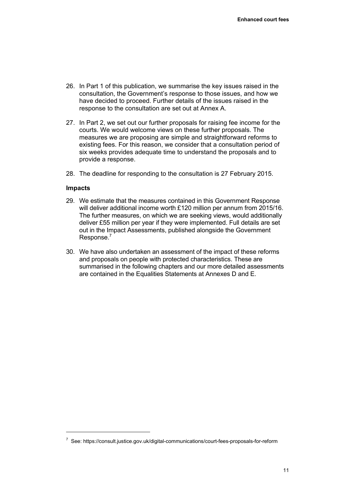- 26. In Part 1 of this publication, we summarise the key issues raised in the consultation, the Government's response to those issues, and how we have decided to proceed. Further details of the issues raised in the response to the consultation are set out at Annex A.
- 27. In Part 2, we set out our further proposals for raising fee income for the courts. We would welcome views on these further proposals. The measures we are proposing are simple and straightforward reforms to existing fees. For this reason, we consider that a consultation period of six weeks provides adequate time to understand the proposals and to provide a response.
- 28. The deadline for responding to the consultation is 27 February 2015.

#### **Impacts**

 $\overline{a}$ 

- 29. We estimate that the measures contained in this Government Response will deliver additional income worth £120 million per annum from 2015/16. The further measures, on which we are seeking views, would additionally deliver £55 million per year if they were implemented. Full details are set out in the Impact Assessments, published alongside the Government Response.7
- 30. We have also undertaken an assessment of the impact of these reforms and proposals on people with protected characteristics. These are summarised in the following chapters and our more detailed assessments are contained in the Equalities Statements at Annexes D and E.

<sup>7</sup> See: https://consult.justice.gov.uk/digital-communications/court-fees-proposals-for-reform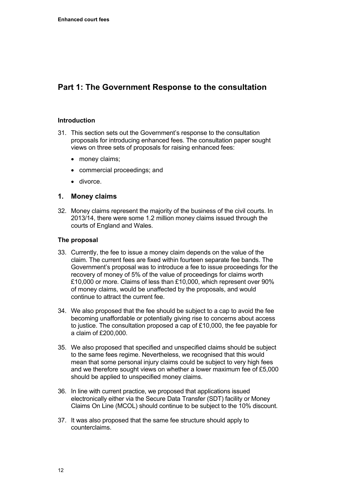# <span id="page-15-0"></span>**Part 1: The Government Response to the consultation**

## **Introduction**

- 31. This section sets out the Government's response to the consultation proposals for introducing enhanced fees. The consultation paper sought views on three sets of proposals for raising enhanced fees:
	- money claims:
	- commercial proceedings; and
	- divorce.

## **1. Money claims**

32. Money claims represent the majority of the business of the civil courts. In 2013/14, there were some 1.2 million money claims issued through the courts of England and Wales.

## **The proposal**

- 33. Currently, the fee to issue a money claim depends on the value of the claim. The current fees are fixed within fourteen separate fee bands. The Government's proposal was to introduce a fee to issue proceedings for the recovery of money of 5% of the value of proceedings for claims worth £10,000 or more. Claims of less than £10,000, which represent over 90% of money claims, would be unaffected by the proposals, and would continue to attract the current fee.
- 34. We also proposed that the fee should be subject to a cap to avoid the fee becoming unaffordable or potentially giving rise to concerns about access to justice. The consultation proposed a cap of £10,000, the fee payable for a claim of £200,000.
- 35. We also proposed that specified and unspecified claims should be subject to the same fees regime. Nevertheless, we recognised that this would mean that some personal injury claims could be subject to very high fees and we therefore sought views on whether a lower maximum fee of £5,000 should be applied to unspecified money claims.
- 36. In line with current practice, we proposed that applications issued electronically either via the Secure Data Transfer (SDT) facility or Money Claims On Line (MCOL) should continue to be subject to the 10% discount.
- 37. It was also proposed that the same fee structure should apply to counterclaims.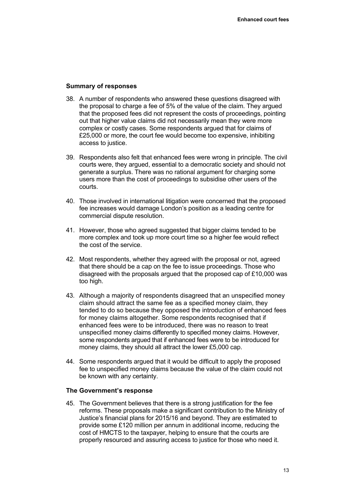#### **Summary of responses**

- 38. A number of respondents who answered these questions disagreed with the proposal to charge a fee of 5% of the value of the claim. They argued that the proposed fees did not represent the costs of proceedings, pointing out that higher value claims did not necessarily mean they were more complex or costly cases. Some respondents argued that for claims of £25,000 or more, the court fee would become too expensive, inhibiting access to justice.
- 39. Respondents also felt that enhanced fees were wrong in principle. The civil courts were, they argued, essential to a democratic society and should not generate a surplus. There was no rational argument for charging some users more than the cost of proceedings to subsidise other users of the courts.
- 40. Those involved in international litigation were concerned that the proposed fee increases would damage London's position as a leading centre for commercial dispute resolution.
- 41. However, those who agreed suggested that bigger claims tended to be more complex and took up more court time so a higher fee would reflect the cost of the service.
- 42. Most respondents, whether they agreed with the proposal or not, agreed that there should be a cap on the fee to issue proceedings. Those who disagreed with the proposals argued that the proposed cap of £10,000 was too high.
- 43. Although a majority of respondents disagreed that an unspecified money claim should attract the same fee as a specified money claim, they tended to do so because they opposed the introduction of enhanced fees for money claims altogether. Some respondents recognised that if enhanced fees were to be introduced, there was no reason to treat unspecified money claims differently to specified money claims. However, some respondents argued that if enhanced fees were to be introduced for money claims, they should all attract the lower £5,000 cap.
- 44. Some respondents argued that it would be difficult to apply the proposed fee to unspecified money claims because the value of the claim could not be known with any certainty.

#### **The Government's response**

45. The Government believes that there is a strong justification for the fee reforms. These proposals make a significant contribution to the Ministry of Justice's financial plans for 2015/16 and beyond. They are estimated to provide some £120 million per annum in additional income, reducing the cost of HMCTS to the taxpayer, helping to ensure that the courts are properly resourced and assuring access to justice for those who need it.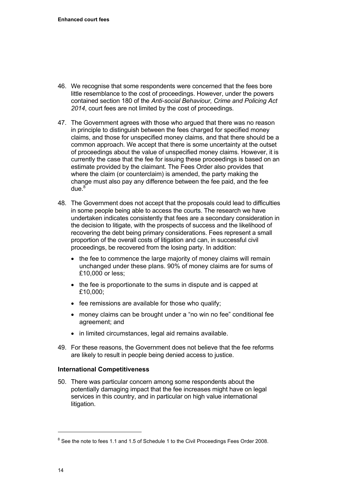- 46. We recognise that some respondents were concerned that the fees bore little resemblance to the cost of proceedings. However, under the powers contained section 180 of the *Anti-social Behaviour, Crime and Policing Act 2014*, court fees are not limited by the cost of proceedings.
- 47. The Government agrees with those who argued that there was no reason in principle to distinguish between the fees charged for specified money claims, and those for unspecified money claims, and that there should be a common approach. We accept that there is some uncertainty at the outset of proceedings about the value of unspecified money claims. However, it is currently the case that the fee for issuing these proceedings is based on an estimate provided by the claimant. The Fees Order also provides that where the claim (or counterclaim) is amended, the party making the change must also pay any difference between the fee paid, and the fee  $due.<sup>8</sup>$
- 48. The Government does not accept that the proposals could lead to difficulties in some people being able to access the courts. The research we have undertaken indicates consistently that fees are a secondary consideration in the decision to litigate, with the prospects of success and the likelihood of recovering the debt being primary considerations. Fees represent a small proportion of the overall costs of litigation and can, in successful civil proceedings, be recovered from the losing party. In addition:
	- the fee to commence the large majority of money claims will remain unchanged under these plans. 90% of money claims are for sums of £10,000 or less;
	- the fee is proportionate to the sums in dispute and is capped at £10,000;
	- fee remissions are available for those who qualify;
	- money claims can be brought under a "no win no fee" conditional fee agreement; and
	- in limited circumstances, legal aid remains available.
- 49. For these reasons, the Government does not believe that the fee reforms are likely to result in people being denied access to justice.

## **International Competitiveness**

50. There was particular concern among some respondents about the potentially damaging impact that the fee increases might have on legal services in this country, and in particular on high value international litigation.

 $\overline{a}$ 

 $8$  See the note to fees 1.1 and 1.5 of Schedule 1 to the Civil Proceedings Fees Order 2008.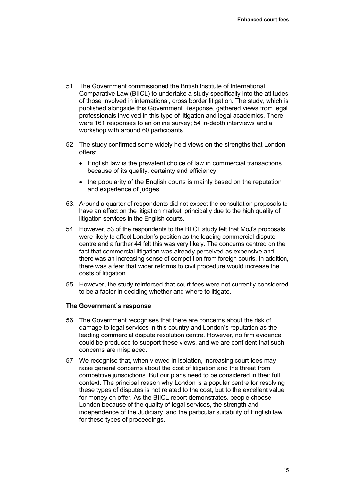- 51. The Government commissioned the British Institute of International Comparative Law (BIICL) to undertake a study specifically into the attitudes of those involved in international, cross border litigation. The study, which is published alongside this Government Response, gathered views from legal professionals involved in this type of litigation and legal academics. There were 161 responses to an online survey; 54 in-depth interviews and a workshop with around 60 participants.
- 52. The study confirmed some widely held views on the strengths that London offers:
	- English law is the prevalent choice of law in commercial transactions because of its quality, certainty and efficiency;
	- the popularity of the English courts is mainly based on the reputation and experience of judges.
- 53. Around a quarter of respondents did not expect the consultation proposals to have an effect on the litigation market, principally due to the high quality of litigation services in the English courts.
- 54. However, 53 of the respondents to the BIICL study felt that MoJ's proposals were likely to affect London's position as the leading commercial dispute centre and a further 44 felt this was very likely. The concerns centred on the fact that commercial litigation was already perceived as expensive and there was an increasing sense of competition from foreign courts. In addition, there was a fear that wider reforms to civil procedure would increase the costs of litigation.
- 55. However, the study reinforced that court fees were not currently considered to be a factor in deciding whether and where to litigate.

## **The Government's response**

- 56. The Government recognises that there are concerns about the risk of damage to legal services in this country and London's reputation as the leading commercial dispute resolution centre. However, no firm evidence could be produced to support these views, and we are confident that such concerns are misplaced.
- 57. We recognise that, when viewed in isolation, increasing court fees may raise general concerns about the cost of litigation and the threat from competitive jurisdictions. But our plans need to be considered in their full context. The principal reason why London is a popular centre for resolving these types of disputes is not related to the cost, but to the excellent value for money on offer. As the BIICL report demonstrates, people choose London because of the quality of legal services, the strength and independence of the Judiciary, and the particular suitability of English law for these types of proceedings.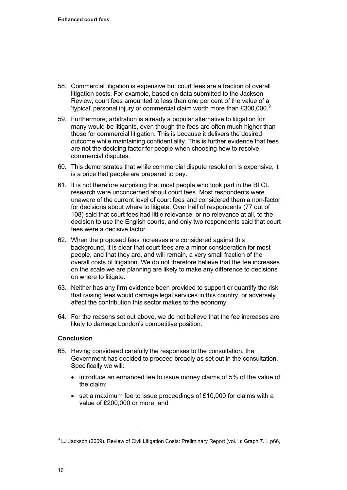- 58. Commercial litigation is expensive but court fees are a fraction of overall litigation costs. For example, based on data submitted to the Jackson Review, court fees amounted to less than one per cent of the value of a 'typical' personal injury or commercial claim worth more than £300,000. $^9$
- 59. Furthermore, arbitration is already a popular alternative to litigation for many would-be litigants, even though the fees are often much higher than those for commercial litigation. This is because it delivers the desired outcome while maintaining confidentiality. This is further evidence that fees are not the deciding factor for people when choosing how to resolve commercial disputes.
- 60. This demonstrates that while commercial dispute resolution is expensive, it is a price that people are prepared to pay.
- 61. It is not therefore surprising that most people who took part in the BIICL research were unconcerned about court fees. Most respondents were unaware of the current level of court fees and considered them a non-factor for decisions about where to litigate. Over half of respondents (77 out of 108) said that court fees had little relevance, or no relevance at all, to the decision to use the English courts, and only two respondents said that court fees were a decisive factor.
- 62. When the proposed fees increases are considered against this background, it is clear that court fees are a minor consideration for most people, and that they are, and will remain, a very small fraction of the overall costs of litigation. We do not therefore believe that the fee increases on the scale we are planning are likely to make any difference to decisions on where to litigate.
- 63. Neither has any firm evidence been provided to support or quantify the risk that raising fees would damage legal services in this country, or adversely affect the contribution this sector makes to the economy.
- 64. For the reasons set out above, we do not believe that the fee increases are likely to damage London's competitive position.

## **Conclusion**

- 65. Having considered carefully the responses to the consultation, the Government has decided to proceed broadly as set out in the consultation. Specifically we will:
	- introduce an enhanced fee to issue money claims of 5% of the value of the claim;
	- set a maximum fee to issue proceedings of £10,000 for claims with a value of £200,000 or more; and

 $\overline{a}$ 

<sup>&</sup>lt;sup>9</sup> LJ Jackson (2009). Review of Civil Litigation Costs: Preliminary Report (vol.1): Graph 7.1, p66,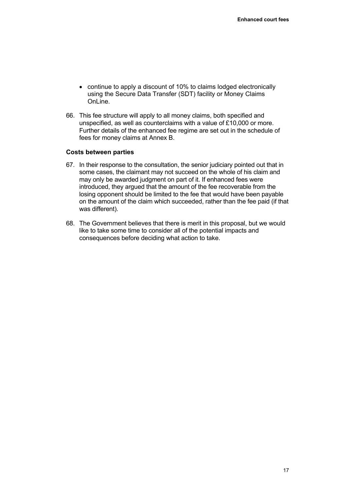- continue to apply a discount of 10% to claims lodged electronically using the Secure Data Transfer (SDT) facility or Money Claims OnLine.
- 66. This fee structure will apply to all money claims, both specified and unspecified, as well as counterclaims with a value of £10,000 or more. Further details of the enhanced fee regime are set out in the schedule of fees for money claims at Annex B.

#### **Costs between parties**

- 67. In their response to the consultation, the senior judiciary pointed out that in some cases, the claimant may not succeed on the whole of his claim and may only be awarded judgment on part of it. If enhanced fees were introduced, they argued that the amount of the fee recoverable from the losing opponent should be limited to the fee that would have been payable on the amount of the claim which succeeded, rather than the fee paid (if that was different).
- 68. The Government believes that there is merit in this proposal, but we would like to take some time to consider all of the potential impacts and consequences before deciding what action to take.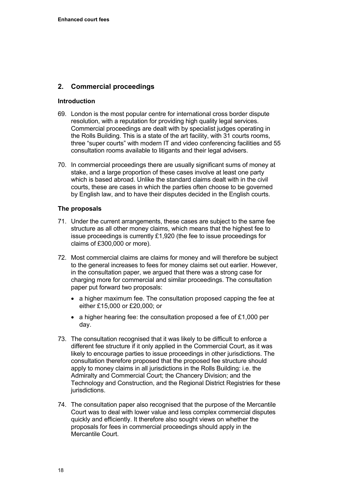## **2. Commercial proceedings**

## **Introduction**

- 69. London is the most popular centre for international cross border dispute resolution, with a reputation for providing high quality legal services. Commercial proceedings are dealt with by specialist judges operating in the Rolls Building. This is a state of the art facility, with 31 courts rooms, three "super courts" with modern IT and video conferencing facilities and 55 consultation rooms available to litigants and their legal advisers.
- 70. In commercial proceedings there are usually significant sums of money at stake, and a large proportion of these cases involve at least one party which is based abroad. Unlike the standard claims dealt with in the civil courts, these are cases in which the parties often choose to be governed by English law, and to have their disputes decided in the English courts.

## **The proposals**

- 71. Under the current arrangements, these cases are subject to the same fee structure as all other money claims, which means that the highest fee to issue proceedings is currently £1,920 (the fee to issue proceedings for claims of £300,000 or more).
- 72. Most commercial claims are claims for money and will therefore be subject to the general increases to fees for money claims set out earlier. However, in the consultation paper, we argued that there was a strong case for charging more for commercial and similar proceedings. The consultation paper put forward two proposals:
	- a higher maximum fee. The consultation proposed capping the fee at either £15,000 or £20,000; or
	- a higher hearing fee: the consultation proposed a fee of £1,000 per day.
- 73. The consultation recognised that it was likely to be difficult to enforce a different fee structure if it only applied in the Commercial Court, as it was likely to encourage parties to issue proceedings in other jurisdictions. The consultation therefore proposed that the proposed fee structure should apply to money claims in all jurisdictions in the Rolls Building: i.e. the Admiralty and Commercial Court; the Chancery Division; and the Technology and Construction, and the Regional District Registries for these jurisdictions.
- 74. The consultation paper also recognised that the purpose of the Mercantile Court was to deal with lower value and less complex commercial disputes quickly and efficiently. It therefore also sought views on whether the proposals for fees in commercial proceedings should apply in the Mercantile Court.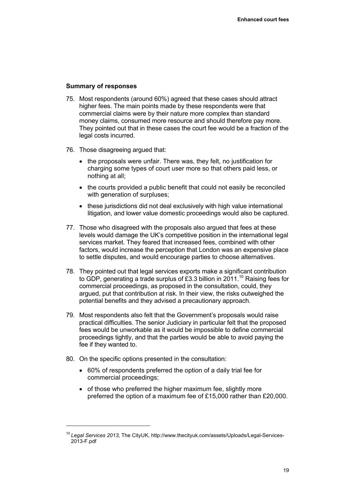## **Summary of responses**

- 75. Most respondents (around 60%) agreed that these cases should attract higher fees. The main points made by these respondents were that commercial claims were by their nature more complex than standard money claims, consumed more resource and should therefore pay more. They pointed out that in these cases the court fee would be a fraction of the legal costs incurred.
- 76. Those disagreeing argued that:
	- the proposals were unfair. There was, they felt, no justification for charging some types of court user more so that others paid less, or nothing at all;
	- the courts provided a public benefit that could not easily be reconciled with generation of surpluses;
	- these jurisdictions did not deal exclusively with high value international litigation, and lower value domestic proceedings would also be captured.
- 77. Those who disagreed with the proposals also argued that fees at these levels would damage the UK's competitive position in the international legal services market. They feared that increased fees, combined with other factors, would increase the perception that London was an expensive place to settle disputes, and would encourage parties to choose alternatives.
- 78. They pointed out that legal services exports make a significant contribution to GDP, generating a trade surplus of £3.3 billion in 2011.<sup>10</sup> Raising fees for commercial proceedings, as proposed in the consultation, could, they argued, put that contribution at risk. In their view, the risks outweighed the potential benefits and they advised a precautionary approach.
- 79. Most respondents also felt that the Government's proposals would raise practical difficulties. The senior Judiciary in particular felt that the proposed fees would be unworkable as it would be impossible to define commercial proceedings tightly, and that the parties would be able to avoid paying the fee if they wanted to.
- 80. On the specific options presented in the consultation:

- 60% of respondents preferred the option of a daily trial fee for commercial proceedings;
- of those who preferred the higher maximum fee, slightly more preferred the option of a maximum fee of £15,000 rather than £20,000.

<sup>10</sup> *Legal Services 2013*, The CityUK, http://www.thecityuk.com/assets/Uploads/Legal-Services-2013-F.pdf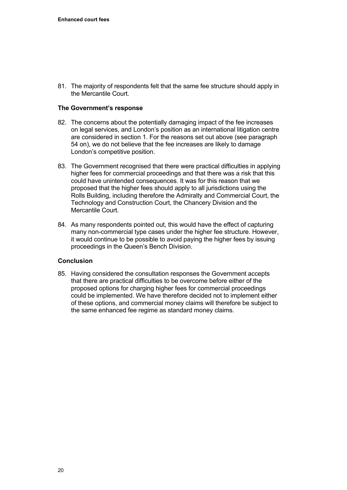81. The majority of respondents felt that the same fee structure should apply in the Mercantile Court.

## **The Government's response**

- 82. The concerns about the potentially damaging impact of the fee increases on legal services, and London's position as an international litigation centre are considered in section 1. For the reasons set out above (see paragraph 54 on), we do not believe that the fee increases are likely to damage London's competitive position.
- 83. The Government recognised that there were practical difficulties in applying higher fees for commercial proceedings and that there was a risk that this could have unintended consequences. It was for this reason that we proposed that the higher fees should apply to all jurisdictions using the Rolls Building, including therefore the Admiralty and Commercial Court, the Technology and Construction Court, the Chancery Division and the Mercantile Court.
- 84. As many respondents pointed out, this would have the effect of capturing many non-commercial type cases under the higher fee structure. However, it would continue to be possible to avoid paying the higher fees by issuing proceedings in the Queen's Bench Division.

## **Conclusion**

85. Having considered the consultation responses the Government accepts that there are practical difficulties to be overcome before either of the proposed options for charging higher fees for commercial proceedings could be implemented. We have therefore decided not to implement either of these options, and commercial money claims will therefore be subject to the same enhanced fee regime as standard money claims.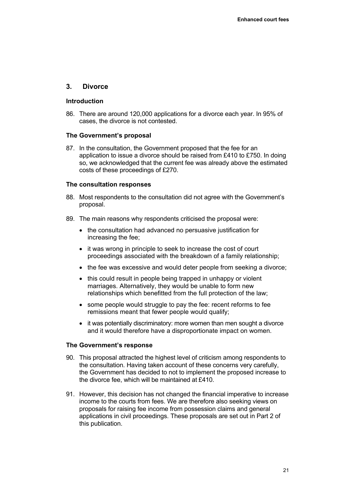## **3. Divorce**

#### **Introduction**

86. There are around 120,000 applications for a divorce each year. In 95% of cases, the divorce is not contested.

#### **The Government's proposal**

87. In the consultation, the Government proposed that the fee for an application to issue a divorce should be raised from £410 to £750. In doing so, we acknowledged that the current fee was already above the estimated costs of these proceedings of £270.

#### **The consultation responses**

- 88. Most respondents to the consultation did not agree with the Government's proposal.
- 89. The main reasons why respondents criticised the proposal were:
	- the consultation had advanced no persuasive justification for increasing the fee;
	- it was wrong in principle to seek to increase the cost of court proceedings associated with the breakdown of a family relationship;
	- the fee was excessive and would deter people from seeking a divorce;
	- this could result in people being trapped in unhappy or violent marriages. Alternatively, they would be unable to form new relationships which benefitted from the full protection of the law;
	- some people would struggle to pay the fee: recent reforms to fee remissions meant that fewer people would qualify;
	- it was potentially discriminatory: more women than men sought a divorce and it would therefore have a disproportionate impact on women.

## **The Government's response**

- 90. This proposal attracted the highest level of criticism among respondents to the consultation. Having taken account of these concerns very carefully, the Government has decided to not to implement the proposed increase to the divorce fee, which will be maintained at £410.
- 91. However, this decision has not changed the financial imperative to increase income to the courts from fees. We are therefore also seeking views on proposals for raising fee income from possession claims and general applications in civil proceedings. These proposals are set out in Part 2 of this publication.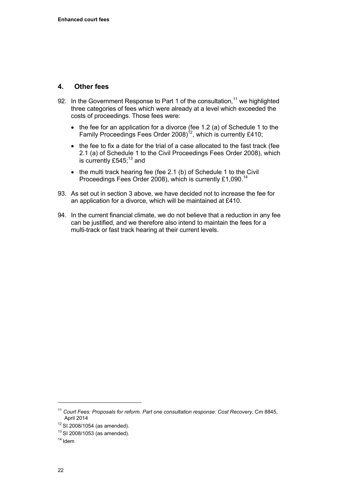## **4. Other fees**

- 92. In the Government Response to Part 1 of the consultation,  $11$  we highlighted three categories of fees which were already at a level which exceeded the costs of proceedings. Those fees were:
	- $\bullet$  the fee for an application for a divorce (fee 1.2 (a) of Schedule 1 to the Family Proceedings Fees Order 2008)<sup>12</sup>, which is currently £410;
	- the fee to fix a date for the trial of a case allocated to the fast track (fee 2.1 (a) of Schedule 1 to the Civil Proceedings Fees Order 2008), which is currently £545; $13$  and
	- the multi track hearing fee (fee 2.1 (b) of Schedule 1 to the Civil Proceedings Fees Order 2008), which is currently £1,090.<sup>14</sup>
- 93. As set out in section 3 above, we have decided not to increase the fee for an application for a divorce, which will be maintained at £410.
- 94. In the current financial climate, we do not believe that a reduction in any fee can be justified, and we therefore also intend to maintain the fees for a multi-track or fast track hearing at their current levels.

<sup>11</sup> *Court Fees: Proposals for reform. Part one consultation response: Cost Recovery*, Cm 8845,

 $12$  SI 2008/1054 (as amended).

 $13$  SI 2008/1053 (as amended).

 $14$  Idem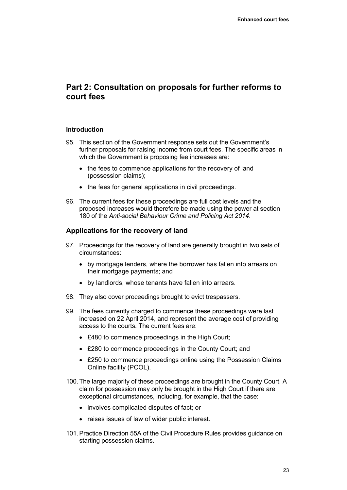# <span id="page-26-0"></span>**Part 2: Consultation on proposals for further reforms to court fees**

## **Introduction**

- 95. This section of the Government response sets out the Government's further proposals for raising income from court fees. The specific areas in which the Government is proposing fee increases are:
	- the fees to commence applications for the recovery of land (possession claims);
	- the fees for general applications in civil proceedings.
- 96. The current fees for these proceedings are full cost levels and the proposed increases would therefore be made using the power at section 180 of the *Anti-social Behaviour Crime and Policing Act 2014*.

## **Applications for the recovery of land**

- 97. Proceedings for the recovery of land are generally brought in two sets of circumstances:
	- by mortgage lenders, where the borrower has fallen into arrears on their mortgage payments; and
	- by landlords, whose tenants have fallen into arrears.
- 98. They also cover proceedings brought to evict trespassers.
- 99. The fees currently charged to commence these proceedings were last increased on 22 April 2014, and represent the average cost of providing access to the courts. The current fees are:
	- £480 to commence proceedings in the High Court:
	- £280 to commence proceedings in the County Court; and
	- £250 to commence proceedings online using the Possession Claims Online facility (PCOL).
- 100. The large majority of these proceedings are brought in the County Court. A claim for possession may only be brought in the High Court if there are exceptional circumstances, including, for example, that the case:
	- involves complicated disputes of fact: or
	- raises issues of law of wider public interest.
- 101. Practice Direction 55A of the Civil Procedure Rules provides guidance on starting possession claims.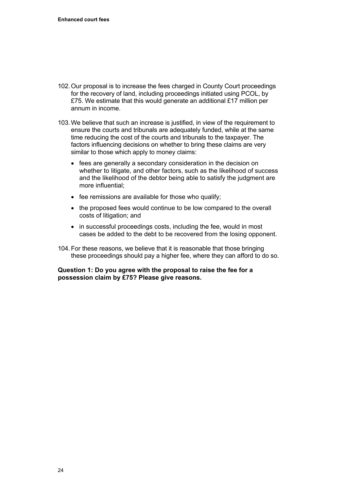- 102. Our proposal is to increase the fees charged in County Court proceedings for the recovery of land, including proceedings initiated using PCOL, by £75. We estimate that this would generate an additional £17 million per annum in income.
- 103. We believe that such an increase is justified, in view of the requirement to ensure the courts and tribunals are adequately funded, while at the same time reducing the cost of the courts and tribunals to the taxpayer. The factors influencing decisions on whether to bring these claims are very similar to those which apply to money claims:
	- fees are generally a secondary consideration in the decision on whether to litigate, and other factors, such as the likelihood of success and the likelihood of the debtor being able to satisfy the judgment are more influential;
	- fee remissions are available for those who qualify;
	- the proposed fees would continue to be low compared to the overall costs of litigation; and
	- in successful proceedings costs, including the fee, would in most cases be added to the debt to be recovered from the losing opponent.
- 104. For these reasons, we believe that it is reasonable that those bringing these proceedings should pay a higher fee, where they can afford to do so.

**Question 1: Do you agree with the proposal to raise the fee for a possession claim by £75? Please give reasons.**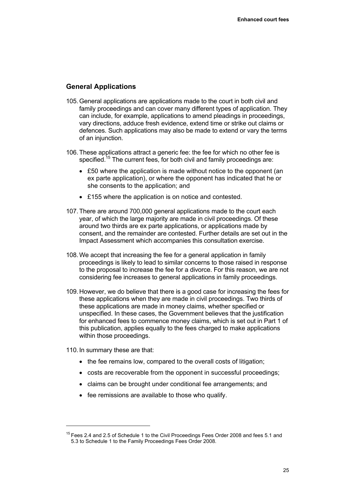## **General Applications**

- 105. General applications are applications made to the court in both civil and family proceedings and can cover many different types of application. They can include, for example, applications to amend pleadings in proceedings, vary directions, adduce fresh evidence, extend time or strike out claims or defences. Such applications may also be made to extend or vary the terms of an injunction.
- 106. These applications attract a generic fee: the fee for which no other fee is specified.<sup>15</sup> The current fees, for both civil and family proceedings are:
	- £50 where the application is made without notice to the opponent (an ex parte application), or where the opponent has indicated that he or she consents to the application; and
	- £155 where the application is on notice and contested.
- 107. There are around 700,000 general applications made to the court each year, of which the large majority are made in civil proceedings. Of these around two thirds are ex parte applications, or applications made by consent, and the remainder are contested. Further details are set out in the Impact Assessment which accompanies this consultation exercise.
- 108. We accept that increasing the fee for a general application in family proceedings is likely to lead to similar concerns to those raised in response to the proposal to increase the fee for a divorce. For this reason, we are not considering fee increases to general applications in family proceedings.
- 109. However, we do believe that there is a good case for increasing the fees for these applications when they are made in civil proceedings. Two thirds of these applications are made in money claims, whether specified or unspecified. In these cases, the Government believes that the justification for enhanced fees to commence money claims, which is set out in Part 1 of this publication, applies equally to the fees charged to make applications within those proceedings.

110. In summary these are that:

- the fee remains low, compared to the overall costs of litigation;
- costs are recoverable from the opponent in successful proceedings;
- claims can be brought under conditional fee arrangements; and
- fee remissions are available to those who qualify.

<sup>&</sup>lt;sup>15</sup> Fees 2.4 and 2.5 of Schedule 1 to the Civil Proceedings Fees Order 2008 and fees 5.1 and 5.3 to Schedule 1 to the Family Proceedings Fees Order 2008.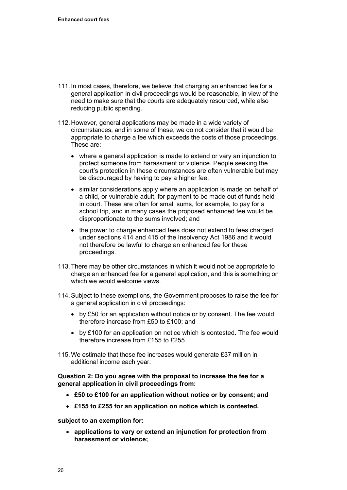- 111. In most cases, therefore, we believe that charging an enhanced fee for a general application in civil proceedings would be reasonable, in view of the need to make sure that the courts are adequately resourced, while also reducing public spending.
- 112. However, general applications may be made in a wide variety of circumstances, and in some of these, we do not consider that it would be appropriate to charge a fee which exceeds the costs of those proceedings. These are:
	- where a general application is made to extend or vary an injunction to protect someone from harassment or violence. People seeking the court's protection in these circumstances are often vulnerable but may be discouraged by having to pay a higher fee;
	- similar considerations apply where an application is made on behalf of a child, or vulnerable adult, for payment to be made out of funds held in court. These are often for small sums, for example, to pay for a school trip, and in many cases the proposed enhanced fee would be disproportionate to the sums involved; and
	- the power to charge enhanced fees does not extend to fees charged under sections 414 and 415 of the Insolvency Act 1986 and it would not therefore be lawful to charge an enhanced fee for these proceedings.
- 113. There may be other circumstances in which it would not be appropriate to charge an enhanced fee for a general application, and this is something on which we would welcome views.
- 114. Subject to these exemptions, the Government proposes to raise the fee for a general application in civil proceedings:
	- by £50 for an application without notice or by consent. The fee would therefore increase from £50 to £100; and
	- by £100 for an application on notice which is contested. The fee would therefore increase from £155 to £255.
- 115. We estimate that these fee increases would generate £37 million in additional income each year.

**Question 2: Do you agree with the proposal to increase the fee for a general application in civil proceedings from:** 

- **£50 to £100 for an application without notice or by consent; and**
- **£155 to £255 for an application on notice which is contested.**

**subject to an exemption for:** 

 **applications to vary or extend an injunction for protection from harassment or violence;**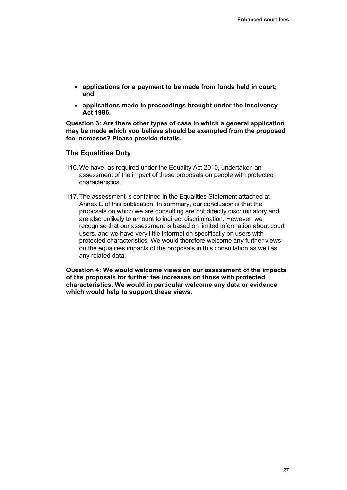- **applications for a payment to be made from funds held in court; and**
- **applications made in proceedings brought under the Insolvency Act 1986.**

**Question 3: Are there other types of case in which a general application may be made which you believe should be exempted from the proposed fee increases? Please provide details.** 

## **The Equalities Duty**

- 116. We have, as required under the Equality Act 2010, undertaken an assessment of the impact of these proposals on people with protected characteristics.
- 117. The assessment is contained in the Equalities Statement attached at Annex E of this publication. In summary, our conclusion is that the proposals on which we are consulting are not directly discriminatory and are also unlikely to amount to indirect discrimination. However, we recognise that our assessment is based on limited information about court users, and we have very little information specifically on users with protected characteristics. We would therefore welcome any further views on the equalities impacts of the proposals in this consultation as well as any related data.

**Question 4: We would welcome views on our assessment of the impacts of the proposals for further fee increases on those with protected characteristics. We would in particular welcome any data or evidence which would help to support these views.**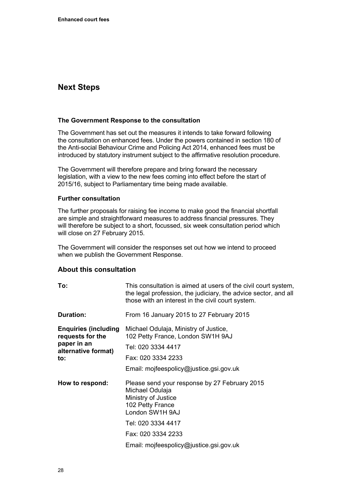# <span id="page-31-0"></span>**Next Steps**

#### **The Government Response to the consultation**

The Government has set out the measures it intends to take forward following the consultation on enhanced fees. Under the powers contained in section 180 of the Anti-social Behaviour Crime and Policing Act 2014, enhanced fees must be introduced by statutory instrument subject to the affirmative resolution procedure.

The Government will therefore prepare and bring forward the necessary legislation, with a view to the new fees coming into effect before the start of 2015/16, subject to Parliamentary time being made available.

#### **Further consultation**

The further proposals for raising fee income to make good the financial shortfall are simple and straightforward measures to address financial pressures. They will therefore be subject to a short, focussed, six week consultation period which will close on 27 February 2015.

The Government will consider the responses set out how we intend to proceed when we publish the Government Response.

## **About this consultation**

| To:                                                                                           | This consultation is aimed at users of the civil court system,<br>the legal profession, the judiciary, the advice sector, and all<br>those with an interest in the civil court system. |  |  |  |  |
|-----------------------------------------------------------------------------------------------|----------------------------------------------------------------------------------------------------------------------------------------------------------------------------------------|--|--|--|--|
| <b>Duration:</b>                                                                              | From 16 January 2015 to 27 February 2015                                                                                                                                               |  |  |  |  |
| <b>Enquiries (including)</b><br>requests for the<br>paper in an<br>alternative format)<br>to: | Michael Odulaja, Ministry of Justice,<br>102 Petty France, London SW1H 9AJ                                                                                                             |  |  |  |  |
|                                                                                               | Tel: 020 3334 4417                                                                                                                                                                     |  |  |  |  |
|                                                                                               | Fax: 020 3334 2233                                                                                                                                                                     |  |  |  |  |
|                                                                                               | Email: mojfeespolicy@justice.gsi.gov.uk                                                                                                                                                |  |  |  |  |
| How to respond:                                                                               | Please send your response by 27 February 2015<br>Michael Odulaja<br>Ministry of Justice<br>102 Petty France<br>London SW1H 9AJ                                                         |  |  |  |  |
|                                                                                               | Tel: 020 3334 4417                                                                                                                                                                     |  |  |  |  |
|                                                                                               | Fax: 020 3334 2233                                                                                                                                                                     |  |  |  |  |
|                                                                                               | Email: mojfeespolicy@justice.gsi.gov.uk                                                                                                                                                |  |  |  |  |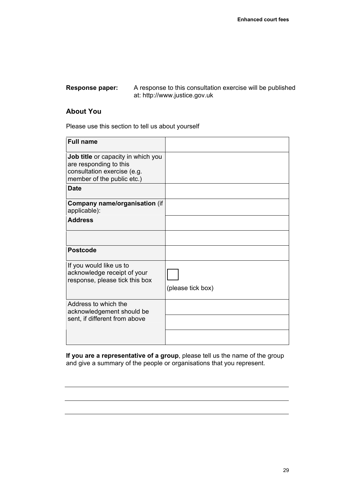#### A response to this consultation exercise will be published at: [http://www.justice.gov.uk](http://www.justice.gov.uk/)  **Response paper:**

## **About You**

Please use this section to tell us about yourself

| (please tick box) |
|-------------------|
|                   |
|                   |

**If you are a representative of a group**, please tell us the name of the group and give a summary of the people or organisations that you represent.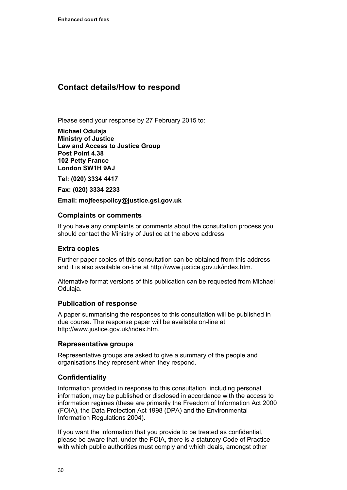# <span id="page-33-0"></span>**Contact details/How to respond**

Please send your response by 27 February 2015 to:

**Michael Odulaja Ministry of Justice Law and Access to Justice Group Post Point 4.38 102 Petty France London SW1H 9AJ** 

**Tel: (020) 3334 4417** 

**Fax: (020) 3334 2233** 

**Email: mojfeespolicy@justice.gsi.gov.uk** 

## **Complaints or comments**

If you have any complaints or comments about the consultation process you should contact the Ministry of Justice at the above address.

## **Extra copies**

Further paper copies of this consultation can be obtained from this address and it is also available on-line at [http://www.justice.gov.uk/index.htm.](http://www.justice.gov.uk/index.htm)

Alternative format versions of this publication can be requested from Michael Odulaja.

## **Publication of response**

A paper summarising the responses to this consultation will be published in due course. The response paper will be available on-line at [http://www.justice.gov.uk/index.htm.](http://www.justice.gov.uk/index.htm)

## **Representative groups**

Representative groups are asked to give a summary of the people and organisations they represent when they respond.

## **Confidentiality**

Information provided in response to this consultation, including personal information, may be published or disclosed in accordance with the access to information regimes (these are primarily the Freedom of Information Act 2000 (FOIA), the Data Protection Act 1998 (DPA) and the Environmental Information Regulations 2004).

If you want the information that you provide to be treated as confidential, please be aware that, under the FOIA, there is a statutory Code of Practice with which public authorities must comply and which deals, amongst other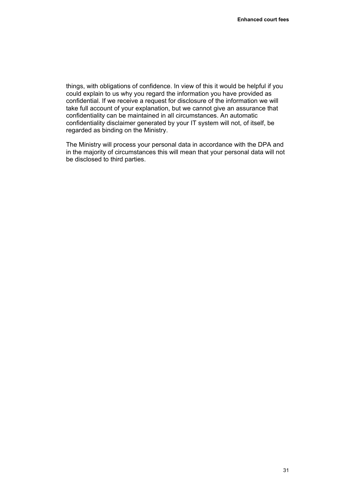things, with obligations of confidence. In view of this it would be helpful if you could explain to us why you regard the information you have provided as confidential. If we receive a request for disclosure of the information we will take full account of your explanation, but we cannot give an assurance that confidentiality can be maintained in all circumstances. An automatic confidentiality disclaimer generated by your IT system will not, of itself, be regarded as binding on the Ministry.

The Ministry will process your personal data in accordance with the DPA and in the majority of circumstances this will mean that your personal data will not be disclosed to third parties.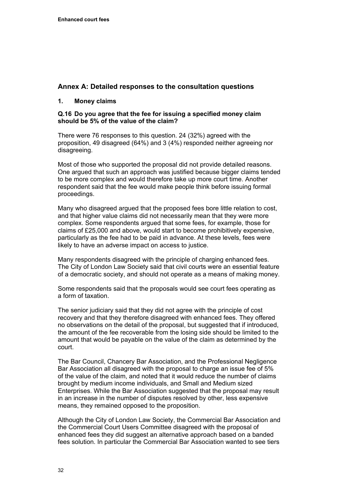## <span id="page-35-0"></span>**Annex A: Detailed responses to the consultation questions**

## **1. Money claims**

## **Q.16 Do you agree that the fee for issuing a specified money claim should be 5% of the value of the claim?**

There were 76 responses to this question. 24 (32%) agreed with the proposition, 49 disagreed (64%) and 3 (4%) responded neither agreeing nor disagreeing.

Most of those who supported the proposal did not provide detailed reasons. One argued that such an approach was justified because bigger claims tended to be more complex and would therefore take up more court time. Another respondent said that the fee would make people think before issuing formal proceedings.

Many who disagreed argued that the proposed fees bore little relation to cost, and that higher value claims did not necessarily mean that they were more complex. Some respondents argued that some fees, for example, those for claims of £25,000 and above, would start to become prohibitively expensive, particularly as the fee had to be paid in advance. At these levels, fees were likely to have an adverse impact on access to justice.

Many respondents disagreed with the principle of charging enhanced fees. The City of London Law Society said that civil courts were an essential feature of a democratic society, and should not operate as a means of making money.

Some respondents said that the proposals would see court fees operating as a form of taxation.

The senior judiciary said that they did not agree with the principle of cost recovery and that they therefore disagreed with enhanced fees. They offered no observations on the detail of the proposal, but suggested that if introduced, the amount of the fee recoverable from the losing side should be limited to the amount that would be payable on the value of the claim as determined by the court.

The Bar Council, Chancery Bar Association, and the Professional Negligence Bar Association all disagreed with the proposal to charge an issue fee of 5% of the value of the claim, and noted that it would reduce the number of claims brought by medium income individuals, and Small and Medium sized Enterprises. While the Bar Association suggested that the proposal may result in an increase in the number of disputes resolved by other, less expensive means, they remained opposed to the proposition.

Although the City of London Law Society, the Commercial Bar Association and the Commercial Court Users Committee disagreed with the proposal of enhanced fees they did suggest an alternative approach based on a banded fees solution. In particular the Commercial Bar Association wanted to see tiers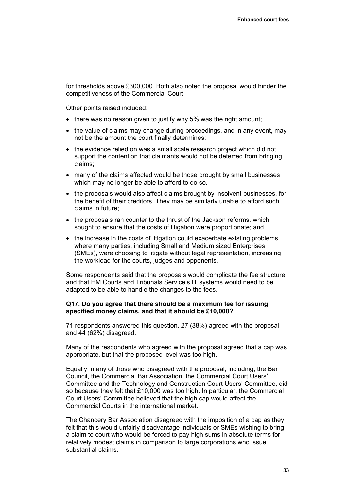for thresholds above £300,000. Both also noted the proposal would hinder the competitiveness of the Commercial Court.

Other points raised included:

- there was no reason given to justify why 5% was the right amount:
- the value of claims may change during proceedings, and in any event, may not be the amount the court finally determines;
- the evidence relied on was a small scale research project which did not support the contention that claimants would not be deterred from bringing claims;
- many of the claims affected would be those brought by small businesses which may no longer be able to afford to do so.
- the proposals would also affect claims brought by insolvent businesses, for the benefit of their creditors. They may be similarly unable to afford such claims in future;
- the proposals ran counter to the thrust of the Jackson reforms, which sought to ensure that the costs of litigation were proportionate; and
- the increase in the costs of litigation could exacerbate existing problems where many parties, including Small and Medium sized Enterprises (SMEs), were choosing to litigate without legal representation, increasing the workload for the courts, judges and opponents.

Some respondents said that the proposals would complicate the fee structure, and that HM Courts and Tribunals Service's IT systems would need to be adapted to be able to handle the changes to the fees.

#### **Q17. Do you agree that there should be a maximum fee for issuing specified money claims, and that it should be £10,000?**

71 respondents answered this question. 27 (38%) agreed with the proposal and 44 (62%) disagreed.

Many of the respondents who agreed with the proposal agreed that a cap was appropriate, but that the proposed level was too high.

Equally, many of those who disagreed with the proposal, including, the Bar Council, the Commercial Bar Association, the Commercial Court Users' Committee and the Technology and Construction Court Users' Committee, did so because they felt that £10,000 was too high. In particular, the Commercial Court Users' Committee believed that the high cap would affect the Commercial Courts in the international market.

The Chancery Bar Association disagreed with the imposition of a cap as they felt that this would unfairly disadvantage individuals or SMEs wishing to bring a claim to court who would be forced to pay high sums in absolute terms for relatively modest claims in comparison to large corporations who issue substantial claims.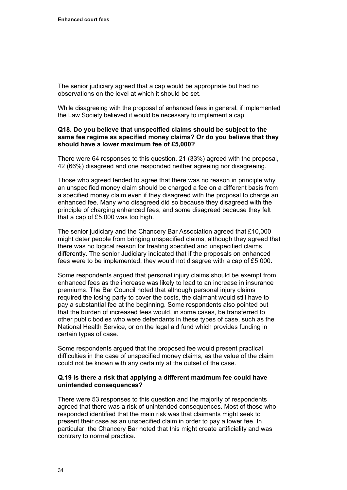The senior judiciary agreed that a cap would be appropriate but had no observations on the level at which it should be set.

While disagreeing with the proposal of enhanced fees in general, if implemented the Law Society believed it would be necessary to implement a cap.

## **Q18. Do you believe that unspecified claims should be subject to the same fee regime as specified money claims? Or do you believe that they should have a lower maximum fee of £5,000?**

There were 64 responses to this question. 21 (33%) agreed with the proposal, 42 (66%) disagreed and one responded neither agreeing nor disagreeing.

Those who agreed tended to agree that there was no reason in principle why an unspecified money claim should be charged a fee on a different basis from a specified money claim even if they disagreed with the proposal to charge an enhanced fee. Many who disagreed did so because they disagreed with the principle of charging enhanced fees, and some disagreed because they felt that a cap of £5,000 was too high.

The senior judiciary and the Chancery Bar Association agreed that £10,000 might deter people from bringing unspecified claims, although they agreed that there was no logical reason for treating specified and unspecified claims differently. The senior Judiciary indicated that if the proposals on enhanced fees were to be implemented, they would not disagree with a cap of £5,000.

Some respondents argued that personal injury claims should be exempt from enhanced fees as the increase was likely to lead to an increase in insurance premiums. The Bar Council noted that although personal injury claims required the losing party to cover the costs, the claimant would still have to pay a substantial fee at the beginning. Some respondents also pointed out that the burden of increased fees would, in some cases, be transferred to other public bodies who were defendants in these types of case, such as the National Health Service, or on the legal aid fund which provides funding in certain types of case.

Some respondents argued that the proposed fee would present practical difficulties in the case of unspecified money claims, as the value of the claim could not be known with any certainty at the outset of the case.

## **Q.19 Is there a risk that applying a different maximum fee could have unintended consequences?**

There were 53 responses to this question and the majority of respondents agreed that there was a risk of unintended consequences. Most of those who responded identified that the main risk was that claimants might seek to present their case as an unspecified claim in order to pay a lower fee. In particular, the Chancery Bar noted that this might create artificiality and was contrary to normal practice.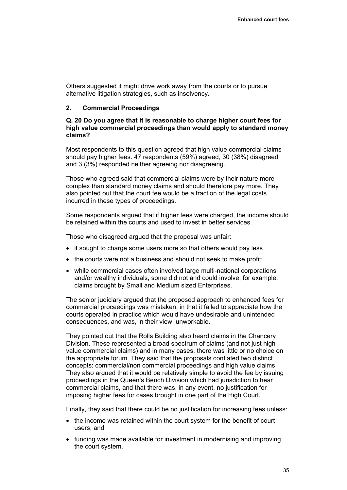Others suggested it might drive work away from the courts or to pursue alternative litigation strategies, such as insolvency.

## **2. Commercial Proceedings**

## **Q. 20 Do you agree that it is reasonable to charge higher court fees for high value commercial proceedings than would apply to standard money claims?**

Most respondents to this question agreed that high value commercial claims should pay higher fees. 47 respondents (59%) agreed, 30 (38%) disagreed and 3 (3%) responded neither agreeing nor disagreeing.

Those who agreed said that commercial claims were by their nature more complex than standard money claims and should therefore pay more. They also pointed out that the court fee would be a fraction of the legal costs incurred in these types of proceedings.

Some respondents argued that if higher fees were charged, the income should be retained within the courts and used to invest in better services.

Those who disagreed argued that the proposal was unfair:

- it sought to charge some users more so that others would pay less
- the courts were not a business and should not seek to make profit;
- while commercial cases often involved large multi-national corporations and/or wealthy individuals, some did not and could involve, for example, claims brought by Small and Medium sized Enterprises.

The senior judiciary argued that the proposed approach to enhanced fees for commercial proceedings was mistaken, in that it failed to appreciate how the courts operated in practice which would have undesirable and unintended consequences, and was, in their view, unworkable.

They pointed out that the Rolls Building also heard claims in the Chancery Division. These represented a broad spectrum of claims (and not just high value commercial claims) and in many cases, there was little or no choice on the appropriate forum. They said that the proposals conflated two distinct concepts: commercial/non commercial proceedings and high value claims. They also argued that it would be relatively simple to avoid the fee by issuing proceedings in the Queen's Bench Division which had jurisdiction to hear commercial claims, and that there was, in any event, no justification for imposing higher fees for cases brought in one part of the High Court.

Finally, they said that there could be no justification for increasing fees unless:

- the income was retained within the court system for the benefit of court users; and
- funding was made available for investment in modernising and improving the court system.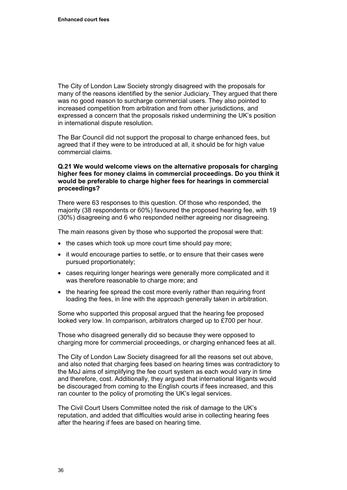The City of London Law Society strongly disagreed with the proposals for many of the reasons identified by the senior Judiciary. They argued that there was no good reason to surcharge commercial users. They also pointed to increased competition from arbitration and from other jurisdictions, and expressed a concern that the proposals risked undermining the UK's position in international dispute resolution.

The Bar Council did not support the proposal to charge enhanced fees, but agreed that if they were to be introduced at all, it should be for high value commercial claims.

## **Q.21 We would welcome views on the alternative proposals for charging higher fees for money claims in commercial proceedings. Do you think it would be preferable to charge higher fees for hearings in commercial proceedings?**

There were 63 responses to this question. Of those who responded, the majority (38 respondents or 60%) favoured the proposed hearing fee, with 19 (30%) disagreeing and 6 who responded neither agreeing nor disagreeing.

The main reasons given by those who supported the proposal were that:

- the cases which took up more court time should pay more;
- it would encourage parties to settle, or to ensure that their cases were pursued proportionately;
- cases requiring longer hearings were generally more complicated and it was therefore reasonable to charge more; and
- the hearing fee spread the cost more evenly rather than requiring front loading the fees, in line with the approach generally taken in arbitration.

Some who supported this proposal argued that the hearing fee proposed looked very low. In comparison, arbitrators charged up to £700 per hour.

Those who disagreed generally did so because they were opposed to charging more for commercial proceedings, or charging enhanced fees at all.

The City of London Law Society disagreed for all the reasons set out above, and also noted that charging fees based on hearing times was contradictory to the MoJ aims of simplifying the fee court system as each would vary in time and therefore, cost. Additionally, they argued that international litigants would be discouraged from coming to the English courts if fees increased, and this ran counter to the policy of promoting the UK's legal services.

The Civil Court Users Committee noted the risk of damage to the UK's reputation, and added that difficulties would arise in collecting hearing fees after the hearing if fees are based on hearing time.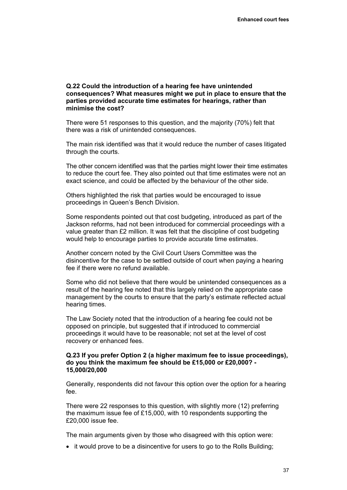#### **Q.22 Could the introduction of a hearing fee have unintended consequences? What measures might we put in place to ensure that the parties provided accurate time estimates for hearings, rather than minimise the cost?**

There were 51 responses to this question, and the majority (70%) felt that there was a risk of unintended consequences.

The main risk identified was that it would reduce the number of cases litigated through the courts.

The other concern identified was that the parties might lower their time estimates to reduce the court fee. They also pointed out that time estimates were not an exact science, and could be affected by the behaviour of the other side.

Others highlighted the risk that parties would be encouraged to issue proceedings in Queen's Bench Division.

Some respondents pointed out that cost budgeting, introduced as part of the Jackson reforms, had not been introduced for commercial proceedings with a value greater than £2 million. It was felt that the discipline of cost budgeting would help to encourage parties to provide accurate time estimates.

Another concern noted by the Civil Court Users Committee was the disincentive for the case to be settled outside of court when paying a hearing fee if there were no refund available.

Some who did not believe that there would be unintended consequences as a result of the hearing fee noted that this largely relied on the appropriate case management by the courts to ensure that the party's estimate reflected actual hearing times.

The Law Society noted that the introduction of a hearing fee could not be opposed on principle, but suggested that if introduced to commercial proceedings it would have to be reasonable; not set at the level of cost recovery or enhanced fees.

## **Q.23 If you prefer Option 2 (a higher maximum fee to issue proceedings), do you think the maximum fee should be £15,000 or £20,000? - 15,000/20,000**

Generally, respondents did not favour this option over the option for a hearing fee.

There were 22 responses to this question, with slightly more (12) preferring the maximum issue fee of £15,000, with 10 respondents supporting the £20,000 issue fee.

The main arguments given by those who disagreed with this option were:

• it would prove to be a disincentive for users to go to the Rolls Building;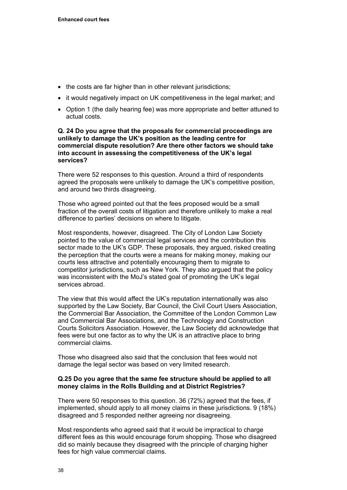- the costs are far higher than in other relevant jurisdictions;
- it would negatively impact on UK competitiveness in the legal market; and
- Option 1 (the daily hearing fee) was more appropriate and better attuned to actual costs.

**Q. 24 Do you agree that the proposals for commercial proceedings are unlikely to damage the UK's position as the leading centre for commercial dispute resolution? Are there other factors we should take into account in assessing the competitiveness of the UK's legal services?** 

There were 52 responses to this question. Around a third of respondents agreed the proposals were unlikely to damage the UK's competitive position, and around two thirds disagreeing.

Those who agreed pointed out that the fees proposed would be a small fraction of the overall costs of litigation and therefore unlikely to make a real difference to parties' decisions on where to litigate.

Most respondents, however, disagreed. The City of London Law Society pointed to the value of commercial legal services and the contribution this sector made to the UK's GDP. These proposals, they argued, risked creating the perception that the courts were a means for making money, making our courts less attractive and potentially encouraging them to migrate to competitor jurisdictions, such as New York. They also argued that the policy was inconsistent with the MoJ's stated goal of promoting the UK's legal services abroad.

The view that this would affect the UK's reputation internationally was also supported by the Law Society, Bar Council, the Civil Court Users Association, the Commercial Bar Association, the Committee of the London Common Law and Commercial Bar Associations, and the Technology and Construction Courts Solicitors Association. However, the Law Society did acknowledge that fees were but one factor as to why the UK is an attractive place to bring commercial claims.

Those who disagreed also said that the conclusion that fees would not damage the legal sector was based on very limited research.

## **Q.25 Do you agree that the same fee structure should be applied to all money claims in the Rolls Building and at District Registries?**

There were 50 responses to this question. 36 (72%) agreed that the fees, if implemented, should apply to all money claims in these jurisdictions. 9 (18%) disagreed and 5 responded neither agreeing nor disagreeing.

Most respondents who agreed said that it would be impractical to charge different fees as this would encourage forum shopping. Those who disagreed did so mainly because they disagreed with the principle of charging higher fees for high value commercial claims.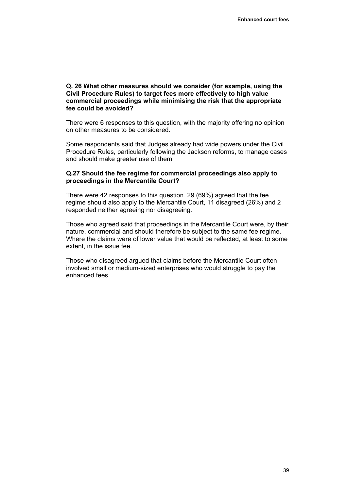## **Q. 26 What other measures should we consider (for example, using the Civil Procedure Rules) to target fees more effectively to high value commercial proceedings while minimising the risk that the appropriate fee could be avoided?**

There were 6 responses to this question, with the majority offering no opinion on other measures to be considered.

Some respondents said that Judges already had wide powers under the Civil Procedure Rules, particularly following the Jackson reforms, to manage cases and should make greater use of them.

## **Q.27 Should the fee regime for commercial proceedings also apply to proceedings in the Mercantile Court?**

There were 42 responses to this question. 29 (69%) agreed that the fee regime should also apply to the Mercantile Court, 11 disagreed (26%) and 2 responded neither agreeing nor disagreeing.

Those who agreed said that proceedings in the Mercantile Court were, by their nature, commercial and should therefore be subject to the same fee regime. Where the claims were of lower value that would be reflected, at least to some extent, in the issue fee.

Those who disagreed argued that claims before the Mercantile Court often involved small or medium-sized enterprises who would struggle to pay the enhanced fees.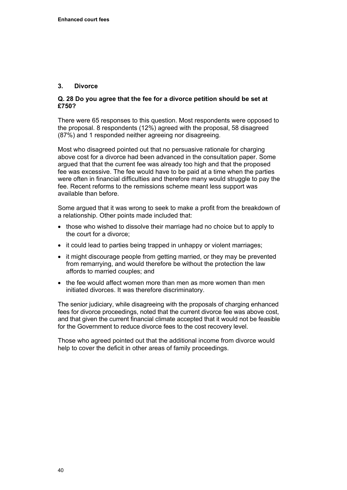## **3. Divorce**

## **Q. 28 Do you agree that the fee for a divorce petition should be set at £750?**

There were 65 responses to this question. Most respondents were opposed to the proposal. 8 respondents (12%) agreed with the proposal, 58 disagreed (87%) and 1 responded neither agreeing nor disagreeing.

Most who disagreed pointed out that no persuasive rationale for charging above cost for a divorce had been advanced in the consultation paper. Some argued that that the current fee was already too high and that the proposed fee was excessive. The fee would have to be paid at a time when the parties were often in financial difficulties and therefore many would struggle to pay the fee. Recent reforms to the remissions scheme meant less support was available than before.

Some argued that it was wrong to seek to make a profit from the breakdown of a relationship. Other points made included that:

- those who wished to dissolve their marriage had no choice but to apply to the court for a divorce;
- it could lead to parties being trapped in unhappy or violent marriages;
- it might discourage people from getting married, or they may be prevented from remarrying, and would therefore be without the protection the law affords to married couples; and
- the fee would affect women more than men as more women than men initiated divorces. It was therefore discriminatory.

The senior judiciary, while disagreeing with the proposals of charging enhanced fees for divorce proceedings, noted that the current divorce fee was above cost, and that given the current financial climate accepted that it would not be feasible for the Government to reduce divorce fees to the cost recovery level.

Those who agreed pointed out that the additional income from divorce would help to cover the deficit in other areas of family proceedings.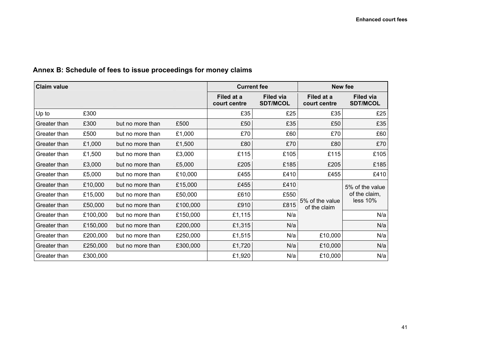# **Annex B: Schedule of fees to issue proceedings for money claims**

<span id="page-44-0"></span>

| <b>Claim value</b> |          | <b>Current fee</b> |          | <b>New fee</b>             |                                     |                                 |                                     |
|--------------------|----------|--------------------|----------|----------------------------|-------------------------------------|---------------------------------|-------------------------------------|
|                    |          |                    |          | Filed at a<br>court centre | <b>Filed via</b><br><b>SDT/MCOL</b> | Filed at a<br>court centre      | <b>Filed via</b><br><b>SDT/MCOL</b> |
| Up to              | £300     |                    |          | £35                        | £25                                 | £35                             | £25                                 |
| Greater than       | £300     | but no more than   | £500     | £50                        | £35                                 | £50                             | £35                                 |
| Greater than       | £500     | but no more than   | £1,000   | £70                        | £60                                 | £70                             | £60                                 |
| Greater than       | £1,000   | but no more than   | £1,500   | £80                        | £70                                 | £80                             | £70                                 |
| Greater than       | £1,500   | but no more than   | £3,000   | £115                       | £105                                | £115                            | £105                                |
| Greater than       | £3,000   | but no more than   | £5,000   | £205                       | £185                                | £205                            | £185                                |
| Greater than       | £5,000   | but no more than   | £10,000  | £455                       | £410                                | £455                            | £410                                |
| Greater than       | £10,000  | but no more than   | £15,000  | £455                       | £410                                |                                 | 5% of the value<br>of the claim,    |
| Greater than       | £15,000  | but no more than   | £50,000  | £610                       | £550                                | 5% of the value<br>of the claim |                                     |
| Greater than       | £50,000  | but no more than   | £100,000 | £910                       | £815                                |                                 | less 10%                            |
| Greater than       | £100,000 | but no more than   | £150,000 | £1,115                     | N/a                                 |                                 | N/a                                 |
| Greater than       | £150,000 | but no more than   | £200,000 | £1,315                     | N/a                                 |                                 | N/a                                 |
| Greater than       | £200,000 | but no more than   | £250,000 | £1,515                     | N/a                                 | £10,000                         | N/a                                 |
| Greater than       | £250,000 | but no more than   | £300,000 | £1,720                     | N/a                                 | £10,000                         | N/a                                 |
| Greater than       | £300,000 |                    |          | £1,920                     | N/a                                 | £10,000                         | N/a                                 |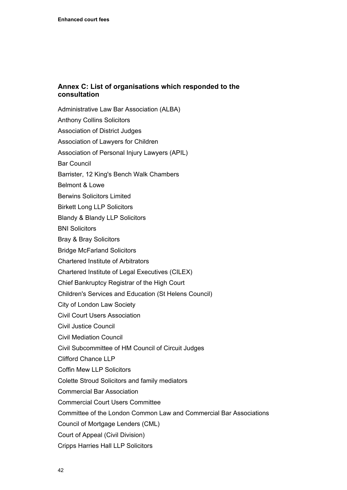## <span id="page-45-0"></span>**Annex C: List of organisations which responded to the consultation**

Administrative Law Bar Association (ALBA) Anthony Collins Solicitors Association of District Judges Association of Lawyers for Children Association of Personal Injury Lawyers (APIL) Bar Council Barrister, 12 King's Bench Walk Chambers Belmont & Lowe Berwins Solicitors Limited Birkett Long LLP Solicitors Blandy & Blandy LLP Solicitors BNI Solicitors Bray & Bray Solicitors Bridge McFarland Solicitors Chartered Institute of Arbitrators Chartered Institute of Legal Executives (CILEX) Chief Bankruptcy Registrar of the High Court Children's Services and Education (St Helens Council) City of London Law Society Civil Court Users Association Civil Justice Council Civil Mediation Council Civil Subcommittee of HM Council of Circuit Judges Clifford Chance LLP Coffin Mew LLP Solicitors Colette Stroud Solicitors and family mediators Commercial Bar Association Commercial Court Users Committee Committee of the London Common Law and Commercial Bar Associations Council of Mortgage Lenders (CML) Court of Appeal (Civil Division) Cripps Harries Hall LLP Solicitors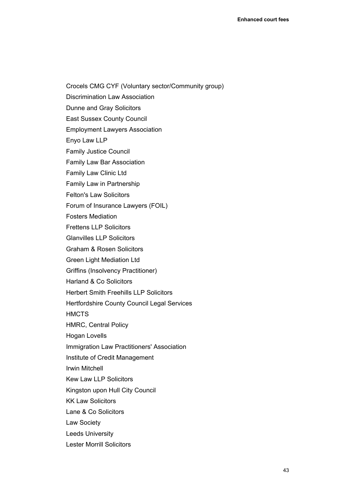Crocels CMG CYF (Voluntary sector/Community group) Discrimination Law Association Dunne and Gray Solicitors East Sussex County Council Employment Lawyers Association Enyo Law LLP Family Justice Council Family Law Bar Association Family Law Clinic Ltd Family Law in Partnership Felton's Law Solicitors Forum of Insurance Lawyers (FOIL) Fosters Mediation Frettens LLP Solicitors Glanvilles LLP Solicitors Graham & Rosen Solicitors Green Light Mediation Ltd Griffins (Insolvency Practitioner) Harland & Co Solicitors Herbert Smith Freehills LLP Solicitors Hertfordshire County Council Legal Services **HMCTS** HMRC, Central Policy Hogan Lovells Immigration Law Practitioners' Association Institute of Credit Management Irwin Mitchell Kew Law LLP Solicitors Kingston upon Hull City Council KK Law Solicitors Lane & Co Solicitors Law Society Leeds University Lester Morrill Solicitors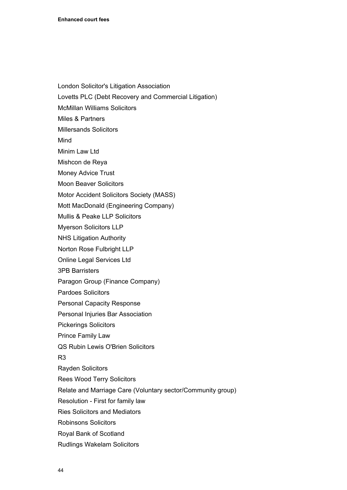- London Solicitor's Litigation Association
- Lovetts PLC (Debt Recovery and Commercial Litigation)
- McMillan Williams Solicitors
- Miles & Partners
- Millersands Solicitors
- Mind
- Minim Law Ltd
- Mishcon de Reya
- Money Advice Trust
- Moon Beaver Solicitors
- Motor Accident Solicitors Society (MASS)
- Mott MacDonald (Engineering Company)
- Mullis & Peake LLP Solicitors
- Myerson Solicitors LLP
- NHS Litigation Authority
- Norton Rose Fulbright LLP
- Online Legal Services Ltd
- 3PB Barristers
- Paragon Group (Finance Company)
- Pardoes Solicitors
- Personal Capacity Response
- Personal Injuries Bar Association
- Pickerings Solicitors
- Prince Family Law
- QS Rubin Lewis O'Brien Solicitors
- R3
- Rayden Solicitors
- Rees Wood Terry Solicitors
- Relate and Marriage Care (Voluntary sector/Community group)
- Resolution First for family law
- Ries Solicitors and Mediators
- Robinsons Solicitors
- Royal Bank of Scotland
- Rudlings Wakelam Solicitors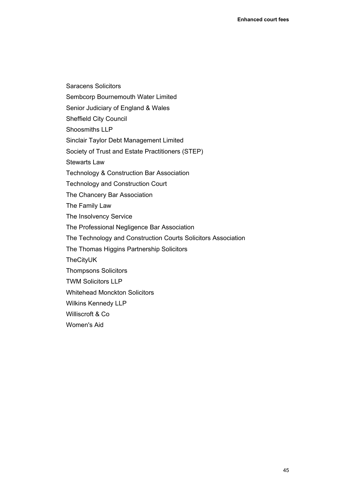Sembcorp Bournemouth Water Limited Senior Judiciary of England & Wales Sheffield City Council Shoosmiths LLP Sinclair Taylor Debt Management Limited Society of Trust and Estate Practitioners (STEP) Stewarts Law Technology & Construction Bar Association Technology and Construction Court The Chancery Bar Association The Family Law The Insolvency Service The Professional Negligence Bar Association The Technology and Construction Courts Solicitors Association The Thomas Higgins Partnership Solicitors TheCityUK Thompsons Solicitors TWM Solicitors LLP Whitehead Monckton Solicitors Wilkins Kennedy LLP Williscroft & Co Women's Aid

Saracens Solicitors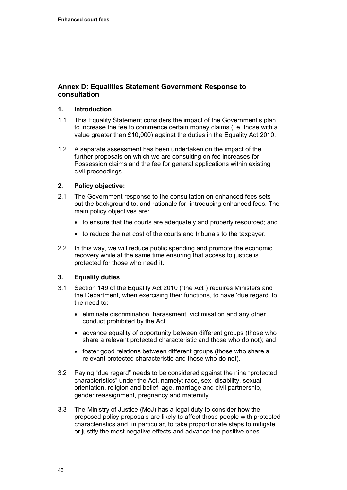## <span id="page-49-0"></span>**Annex D: Equalities Statement Government Response to consultation**

## **1. Introduction**

- 1.1 This Equality Statement considers the impact of the Government's plan to increase the fee to commence certain money claims (i.e. those with a value greater than £10,000) against the duties in the Equality Act 2010.
- 1.2 A separate assessment has been undertaken on the impact of the further proposals on which we are consulting on fee increases for Possession claims and the fee for general applications within existing civil proceedings.

## **2. Policy objective:**

- 2.1 The Government response to the consultation on enhanced fees sets out the background to, and rationale for, introducing enhanced fees. The main policy objectives are:
	- to ensure that the courts are adequately and properly resourced; and
	- to reduce the net cost of the courts and tribunals to the taxpayer.
- 2.2 In this way, we will reduce public spending and promote the economic recovery while at the same time ensuring that access to justice is protected for those who need it.

## **3. Equality duties**

- 3.1 Section 149 of the Equality Act 2010 ("the Act") requires Ministers and the Department, when exercising their functions, to have 'due regard' to the need to:
	- eliminate discrimination, harassment, victimisation and any other conduct prohibited by the Act;
	- advance equality of opportunity between different groups (those who share a relevant protected characteristic and those who do not); and
	- foster good relations between different groups (those who share a relevant protected characteristic and those who do not).
- 3.2 Paying "due regard" needs to be considered against the nine "protected characteristics" under the Act, namely: race, sex, disability, sexual orientation, religion and belief, age, marriage and civil partnership, gender reassignment, pregnancy and maternity.
- 3.3 The Ministry of Justice (MoJ) has a legal duty to consider how the proposed policy proposals are likely to affect those people with protected characteristics and, in particular, to take proportionate steps to mitigate or justify the most negative effects and advance the positive ones.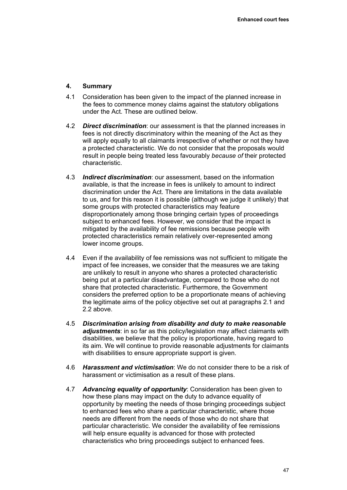## **4. Summary**

- 4.1 Consideration has been given to the impact of the planned increase in the fees to commence money claims against the statutory obligations under the Act. These are outlined below.
- 4.2 *Direct discrimination*: our assessment is that the planned increases in fees is not directly discriminatory within the meaning of the Act as they will apply equally to all claimants irrespective of whether or not they have a protected characteristic. We do not consider that the proposals would result in people being treated less favourably *because of* their protected characteristic.
- 4.3 *Indirect discrimination*: our assessment, based on the information available, is that the increase in fees is unlikely to amount to indirect discrimination under the Act. There are limitations in the data available to us, and for this reason it is possible (although we judge it unlikely) that some groups with protected characteristics may feature disproportionately among those bringing certain types of proceedings subject to enhanced fees. However, we consider that the impact is mitigated by the availability of fee remissions because people with protected characteristics remain relatively over-represented among lower income groups.
- 4.4 Even if the availability of fee remissions was not sufficient to mitigate the impact of fee increases, we consider that the measures we are taking are unlikely to result in anyone who shares a protected characteristic being put at a particular disadvantage, compared to those who do not share that protected characteristic. Furthermore, the Government considers the preferred option to be a proportionate means of achieving the legitimate aims of the policy objective set out at paragraphs 2.1 and 2.2 above.
- 4.5 *Discrimination arising from disability and duty to make reasonable adjustments*: in so far as this policy/legislation may affect claimants with disabilities, we believe that the policy is proportionate, having regard to its aim. We will continue to provide reasonable adjustments for claimants with disabilities to ensure appropriate support is given.
- 4.6 *Harassment and victimisation*: We do not consider there to be a risk of harassment or victimisation as a result of these plans.
- 4.7 *Advancing equality of opportunity*: Consideration has been given to how these plans may impact on the duty to advance equality of opportunity by meeting the needs of those bringing proceedings subject to enhanced fees who share a particular characteristic, where those needs are different from the needs of those who do not share that particular characteristic. We consider the availability of fee remissions will help ensure equality is advanced for those with protected characteristics who bring proceedings subject to enhanced fees.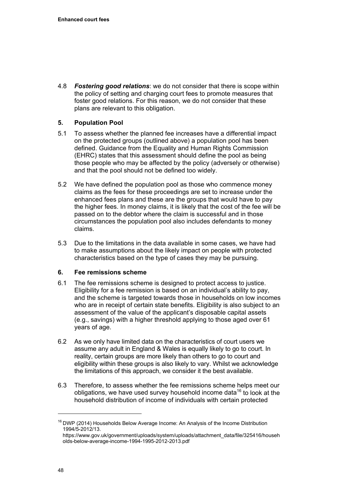4.8 *Fostering good relations*: we do not consider that there is scope within the policy of setting and charging court fees to promote measures that foster good relations. For this reason, we do not consider that these plans are relevant to this obligation.

## **5. Population Pool**

- 5.1 To assess whether the planned fee increases have a differential impact on the protected groups (outlined above) a population pool has been defined. Guidance from the Equality and Human Rights Commission (EHRC) states that this assessment should define the pool as being those people who may be affected by the policy (adversely or otherwise) and that the pool should not be defined too widely.
- 5.2 We have defined the population pool as those who commence money claims as the fees for these proceedings are set to increase under the enhanced fees plans and these are the groups that would have to pay the higher fees. In money claims, it is likely that the cost of the fee will be passed on to the debtor where the claim is successful and in those circumstances the population pool also includes defendants to money claims.
- 5.3 Due to the limitations in the data available in some cases, we have had to make assumptions about the likely impact on people with protected characteristics based on the type of cases they may be pursuing.

## **6. Fee remissions scheme**

- 6.1 The fee remissions scheme is designed to protect access to justice. Eligibility for a fee remission is based on an individual's ability to pay, and the scheme is targeted towards those in households on low incomes who are in receipt of certain state benefits. Eligibility is also subject to an assessment of the value of the applicant's disposable capital assets (e.g., savings) with a higher threshold applying to those aged over 61 years of age.
- 6.2 As we only have limited data on the characteristics of court users we assume any adult in England & Wales is equally likely to go to court. In reality, certain groups are more likely than others to go to court and eligibility within these groups is also likely to vary. Whilst we acknowledge the limitations of this approach, we consider it the best available.
- 6.3 Therefore, to assess whether the fee remissions scheme helps meet our obligations, we have used survey household income data<sup>16</sup> to look at the household distribution of income of individuals with certain protected

<sup>&</sup>lt;sup>16</sup> DWP (2014) Households Below Average Income: An Analysis of the Income Distribution 1994/5-2012/13.

[https://www.gov.uk/government/uploads/system/uploads/attachment\\_data/file/325416/househ](https://www.gov.uk/government/uploads/system/uploads/attachment_data/file/325416/households-below-average-income-1994-1995-2012-2013.pdf) [olds-below-average-income-1994-1995-2012-2013.pdf](https://www.gov.uk/government/uploads/system/uploads/attachment_data/file/325416/households-below-average-income-1994-1995-2012-2013.pdf)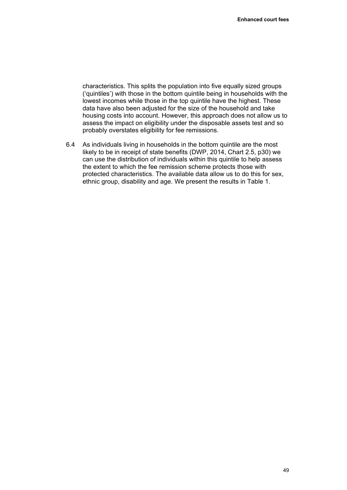characteristics. This splits the population into five equally sized groups ('quintiles') with those in the bottom quintile being in households with the lowest incomes while those in the top quintile have the highest. These data have also been adjusted for the size of the household and take housing costs into account. However, this approach does not allow us to assess the impact on eligibility under the disposable assets test and so probably overstates eligibility for fee remissions.

6.4 As individuals living in households in the bottom quintile are the most likely to be in receipt of state benefits (DWP, 2014, Chart 2.5, p30) we can use the distribution of individuals within this quintile to help assess the extent to which the fee remission scheme protects those with protected characteristics. The available data allow us to do this for sex, ethnic group, disability and age. We present the results in Table 1.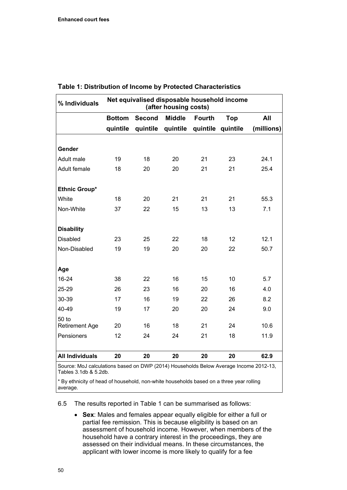| % Individuals          | Net equivalised disposable household income<br>(after housing costs) |               |               |               |            |            |
|------------------------|----------------------------------------------------------------------|---------------|---------------|---------------|------------|------------|
|                        | <b>Bottom</b>                                                        | <b>Second</b> | <b>Middle</b> | <b>Fourth</b> | <b>Top</b> | All        |
|                        | quintile                                                             | quintile      | quintile      | quintile      | quintile   | (millions) |
|                        |                                                                      |               |               |               |            |            |
| Gender                 |                                                                      |               |               |               |            |            |
| Adult male             | 19                                                                   | 18            | 20            | 21            | 23         | 24.1       |
| Adult female           | 18                                                                   | 20            | 20            | 21            | 21         | 25.4       |
| Ethnic Group*          |                                                                      |               |               |               |            |            |
| White                  | 18                                                                   | 20            | 21            | 21            | 21         | 55.3       |
| Non-White              | 37                                                                   | 22            | 15            | 13            | 13         | 7.1        |
| <b>Disability</b>      |                                                                      |               |               |               |            |            |
| <b>Disabled</b>        | 23                                                                   | 25            | 22            | 18            | 12         | 12.1       |
| Non-Disabled           | 19                                                                   | 19            | 20            | 20            | 22         | 50.7       |
| Age                    |                                                                      |               |               |               |            |            |
| $16 - 24$              | 38                                                                   | 22            | 16            | 15            | 10         | 5.7        |
| 25-29                  | 26                                                                   | 23            | 16            | 20            | 16         | 4.0        |
| 30-39                  | 17                                                                   | 16            | 19            | 22            | 26         | 8.2        |
| 40-49                  | 19                                                                   | 17            | 20            | 20            | 24         | 9.0        |
| 50 to                  |                                                                      |               |               |               |            |            |
| <b>Retirement Age</b>  | 20                                                                   | 16            | 18            | 21            | 24         | 10.6       |
| Pensioners             | 12                                                                   | 24            | 24            | 21            | 18         | 11.9       |
| <b>All Individuals</b> | 20                                                                   | 20            | 20            | 20            | 20         | 62.9       |

## **Table 1: Distribution of Income by Protected Characteristics**

Ilations based on DWP (2014) Households Below Average Income 2012-13, Tables 3.1db & 5.2db.

\* By ethnicity of head of household, non-white households based on a three year rolling average.

6.5 The results reported in Table 1 can be summarised as follows:

 **Sex**: Males and females appear equally eligible for either a full or partial fee remission. This is because eligibility is based on an assessment of household income. However, when members of the household have a contrary interest in the proceedings, they are assessed on their individual means. In these circumstances, the applicant with lower income is more likely to qualify for a fee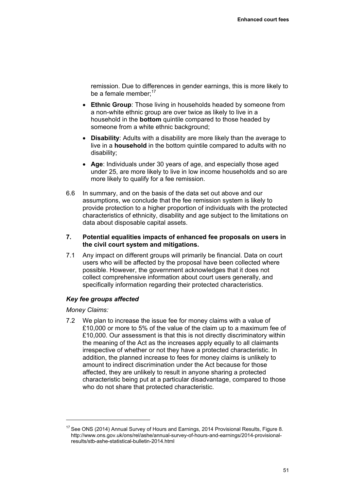remission. Due to differences in gender earnings, this is more likely to be a female member: $17$ 

- **Ethnic Group**: Those living in households headed by someone from a non-white ethnic group are over twice as likely to live in a household in the **bottom** quintile compared to those headed by someone from a white ethnic background;
- **Disability**: Adults with a disability are more likely than the average to live in a **household** in the bottom quintile compared to adults with no disability;
- **Age**: Individuals under 30 years of age, and especially those aged under 25, are more likely to live in low income households and so are more likely to qualify for a fee remission.
- 6.6 In summary, and on the basis of the data set out above and our assumptions, we conclude that the fee remission system is likely to provide protection to a higher proportion of individuals with the protected characteristics of ethnicity, disability and age subject to the limitations on data about disposable capital assets.

## **7. Potential equalities impacts of enhanced fee proposals on users in the civil court system and mitigations.**

7.1 Any impact on different groups will primarily be financial. Data on court users who will be affected by the proposal have been collected where possible. However, the government acknowledges that it does not collect comprehensive information about court users generally, and specifically information regarding their protected characteristics.

## *Key fee groups affected*

## *Money Claims:*

7.2 We plan to increase the issue fee for money claims with a value of £10,000 or more to 5% of the value of the claim up to a maximum fee of £10,000. Our assessment is that this is not directly discriminatory within the meaning of the Act as the increases apply equally to all claimants irrespective of whether or not they have a protected characteristic. In addition, the planned increase to fees for money claims is unlikely to amount to indirect discrimination under the Act because for those affected, they are unlikely to result in anyone sharing a protected characteristic being put at a particular disadvantage, compared to those who do not share that protected characteristic.

<sup>&</sup>lt;sup>17</sup> See ONS (2014) Annual Survey of Hours and Earnings, 2014 Provisional Results, Figure 8. [http://www.ons.gov.uk/ons/rel/ashe/annual-survey-of-hours-and-earnings/2014-provisional](http://www.ons.gov.uk/ons/rel/ashe/annual-survey-of-hours-and-earnings/2014-provisional-results/stb-ashe-statistical-bulletin-2014.html)[results/stb-ashe-statistical-bulletin-2014.html](http://www.ons.gov.uk/ons/rel/ashe/annual-survey-of-hours-and-earnings/2014-provisional-results/stb-ashe-statistical-bulletin-2014.html)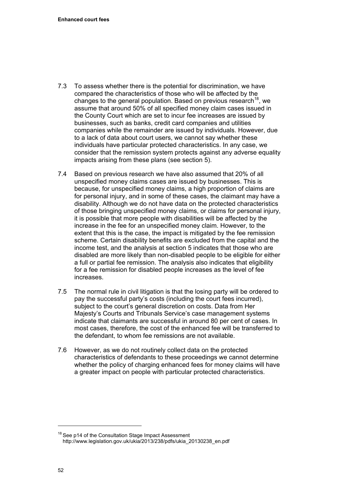- 7.3 To assess whether there is the potential for discrimination, we have compared the characteristics of those who will be affected by the changes to the general population. Based on previous research<sup>18</sup>, we assume that around 50% of all specified money claim cases issued in the County Court which are set to incur fee increases are issued by businesses, such as banks, credit card companies and utilities companies while the remainder are issued by individuals. However, due to a lack of data about court users, we cannot say whether these individuals have particular protected characteristics. In any case, we consider that the remission system protects against any adverse equality impacts arising from these plans (see section 5).
- 7.4 Based on previous research we have also assumed that 20% of all unspecified money claims cases are issued by businesses. This is because, for unspecified money claims, a high proportion of claims are for personal injury, and in some of these cases, the claimant may have a disability. Although we do not have data on the protected characteristics of those bringing unspecified money claims, or claims for personal injury, it is possible that more people with disabilities will be affected by the increase in the fee for an unspecified money claim. However, to the extent that this is the case, the impact is mitigated by the fee remission scheme. Certain disability benefits are excluded from the capital and the income test, and the analysis at section 5 indicates that those who are disabled are more likely than non-disabled people to be eligible for either a full or partial fee remission. The analysis also indicates that eligibility for a fee remission for disabled people increases as the level of fee increases.
- 7.5 The normal rule in civil litigation is that the losing party will be ordered to pay the successful party's costs (including the court fees incurred), subject to the court's general discretion on costs. Data from Her Majesty's Courts and Tribunals Service's case management systems indicate that claimants are successful in around 80 per cent of cases. In most cases, therefore, the cost of the enhanced fee will be transferred to the defendant, to whom fee remissions are not available.
- 7.6 However, as we do not routinely collect data on the protected characteristics of defendants to these proceedings we cannot determine whether the policy of charging enhanced fees for money claims will have a greater impact on people with particular protected characteristics.

<sup>&</sup>lt;sup>18</sup> See p14 of the Consultation Stage Impact Assessment [http://www.legislation.gov.uk/ukia/2013/238/pdfs/ukia\\_20130238\\_en.pdf](http://www.legislation.gov.uk/ukia/2013/238/pdfs/ukia_20130238_en.pdf)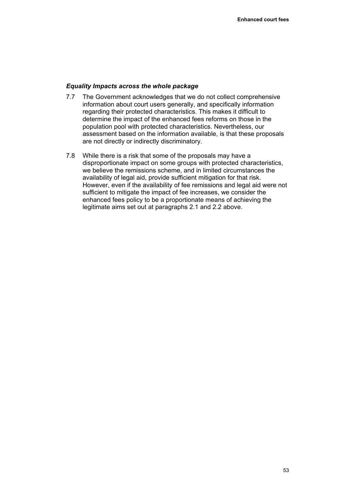#### *Equality Impacts across the whole package*

- 7.7 The Government acknowledges that we do not collect comprehensive information about court users generally, and specifically information regarding their protected characteristics. This makes it difficult to determine the impact of the enhanced fees reforms on those in the population pool with protected characteristics. Nevertheless, our assessment based on the information available, is that these proposals are not directly or indirectly discriminatory.
- 7.8 While there is a risk that some of the proposals may have a disproportionate impact on some groups with protected characteristics, we believe the remissions scheme, and in limited circumstances the availability of legal aid, provide sufficient mitigation for that risk. However, even if the availability of fee remissions and legal aid were not sufficient to mitigate the impact of fee increases, we consider the enhanced fees policy to be a proportionate means of achieving the legitimate aims set out at paragraphs 2.1 and 2.2 above.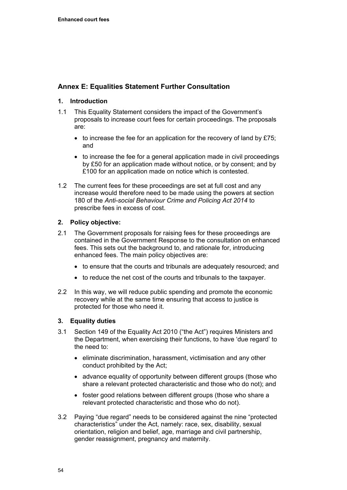## <span id="page-57-0"></span>**Annex E: Equalities Statement Further Consultation**

## **1. Introduction**

- 1.1 This Equality Statement considers the impact of the Government's proposals to increase court fees for certain proceedings. The proposals are:
	- $\bullet$  to increase the fee for an application for the recovery of land by £75; and
	- $\bullet$  to increase the fee for a general application made in civil proceedings by £50 for an application made without notice, or by consent; and by £100 for an application made on notice which is contested.
- 1.2 The current fees for these proceedings are set at full cost and any increase would therefore need to be made using the powers at section 180 of the *Anti-social Behaviour Crime and Policing Act 2014* to prescribe fees in excess of cost.

## **2. Policy objective:**

- 2.1 The Government proposals for raising fees for these proceedings are contained in the Government Response to the consultation on enhanced fees. This sets out the background to, and rationale for, introducing enhanced fees. The main policy objectives are:
	- to ensure that the courts and tribunals are adequately resourced; and
	- to reduce the net cost of the courts and tribunals to the taxpayer.
- 2.2 In this way, we will reduce public spending and promote the economic recovery while at the same time ensuring that access to justice is protected for those who need it.

## **3. Equality duties**

- 3.1 Section 149 of the Equality Act 2010 ("the Act") requires Ministers and the Department, when exercising their functions, to have 'due regard' to the need to:
	- eliminate discrimination, harassment, victimisation and any other conduct prohibited by the Act;
	- advance equality of opportunity between different groups (those who share a relevant protected characteristic and those who do not); and
	- foster good relations between different groups (those who share a relevant protected characteristic and those who do not).
- 3.2 Paying "due regard" needs to be considered against the nine "protected characteristics" under the Act, namely: race, sex, disability, sexual orientation, religion and belief, age, marriage and civil partnership, gender reassignment, pregnancy and maternity.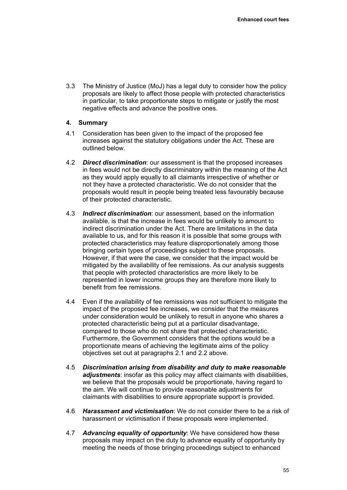3.3 The Ministry of Justice (MoJ) has a legal duty to consider how the policy proposals are likely to affect those people with protected characteristics in particular, to take proportionate steps to mitigate or justify the most negative effects and advance the positive ones.

## **4. Summary**

- 4.1 Consideration has been given to the impact of the proposed fee increases against the statutory obligations under the Act. These are outlined below.
- 4.2 *Direct discrimination*: our assessment is that the proposed increases in fees would not be directly discriminatory within the meaning of the Act as they would apply equally to all claimants irrespective of whether or not they have a protected characteristic. We do not consider that the proposals would result in people being treated less favourably because of their protected characteristic.
- 4.3 *Indirect discrimination*: our assessment, based on the information available, is that the increase in fees would be unlikely to amount to indirect discrimination under the Act. There are limitations in the data available to us, and for this reason it is possible that some groups with protected characteristics may feature disproportionately among those bringing certain types of proceedings subject to these proposals. However, if that were the case, we consider that the impact would be mitigated by the availability of fee remissions. As our analysis suggests that people with protected characteristics are more likely to be represented in lower income groups they are therefore more likely to benefit from fee remissions.
- 4.4 Even if the availability of fee remissions was not sufficient to mitigate the impact of the proposed fee increases, we consider that the measures under consideration would be unlikely to result in anyone who shares a protected characteristic being put at a particular disadvantage, compared to those who do not share that protected characteristic. Furthermore, the Government considers that the options would be a proportionate means of achieving the legitimate aims of the policy objectives set out at paragraphs 2.1 and 2.2 above.
- 4.5 *Discrimination arising from disability and duty to make reasonable adjustments*: insofar as this policy may affect claimants with disabilities, we believe that the proposals would be proportionate, having regard to the aim. We will continue to provide reasonable adjustments for claimants with disabilities to ensure appropriate support is provided.
- 4.6 *Harassment and victimisation*: We do not consider there to be a risk of harassment or victimisation if these proposals were implemented.
- 4.7 *Advancing equality of opportunity*: We have considered how these proposals may impact on the duty to advance equality of opportunity by meeting the needs of those bringing proceedings subject to enhanced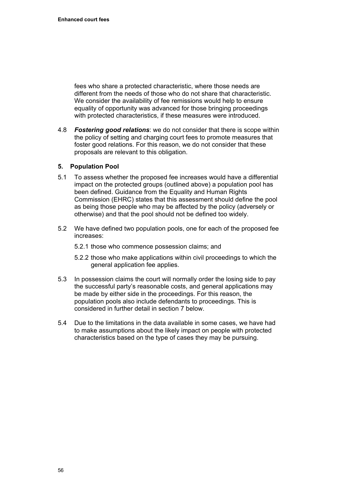fees who share a protected characteristic, where those needs are different from the needs of those who do not share that characteristic. We consider the availability of fee remissions would help to ensure equality of opportunity was advanced for those bringing proceedings with protected characteristics, if these measures were introduced.

4.8 *Fostering good relations*: we do not consider that there is scope within the policy of setting and charging court fees to promote measures that foster good relations. For this reason, we do not consider that these proposals are relevant to this obligation.

## **5. Population Pool**

- 5.1 To assess whether the proposed fee increases would have a differential impact on the protected groups (outlined above) a population pool has been defined. Guidance from the Equality and Human Rights Commission (EHRC) states that this assessment should define the pool as being those people who may be affected by the policy (adversely or otherwise) and that the pool should not be defined too widely.
- 5.2 We have defined two population pools, one for each of the proposed fee increases:
	- 5.2.1 those who commence possession claims; and
	- 5.2.2 those who make applications within civil proceedings to which the general application fee applies.
- 5.3 In possession claims the court will normally order the losing side to pay the successful party's reasonable costs, and general applications may be made by either side in the proceedings. For this reason, the population pools also include defendants to proceedings. This is considered in further detail in section 7 below.
- 5.4 Due to the limitations in the data available in some cases, we have had to make assumptions about the likely impact on people with protected characteristics based on the type of cases they may be pursuing.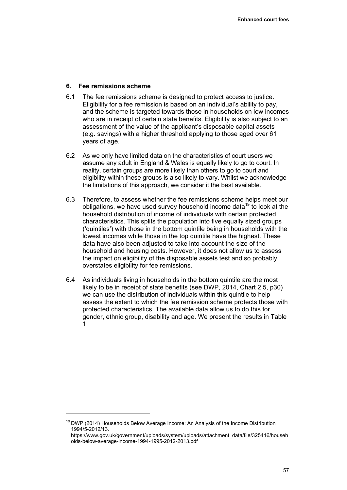## **6. Fee remissions scheme**

- 6.1 The fee remissions scheme is designed to protect access to justice. Eligibility for a fee remission is based on an individual's ability to pay, and the scheme is targeted towards those in households on low incomes who are in receipt of certain state benefits. Eligibility is also subject to an assessment of the value of the applicant's disposable capital assets (e.g. savings) with a higher threshold applying to those aged over 61 years of age.
- 6.2 As we only have limited data on the characteristics of court users we assume any adult in England & Wales is equally likely to go to court. In reality, certain groups are more likely than others to go to court and eligibility within these groups is also likely to vary. Whilst we acknowledge the limitations of this approach, we consider it the best available.
- 6.3 Therefore, to assess whether the fee remissions scheme helps meet our obligations, we have used survey household income data<sup>19</sup> to look at the household distribution of income of individuals with certain protected characteristics. This splits the population into five equally sized groups ('quintiles') with those in the bottom quintile being in households with the lowest incomes while those in the top quintile have the highest. These data have also been adjusted to take into account the size of the household and housing costs. However, it does not allow us to assess the impact on eligibility of the disposable assets test and so probably overstates eligibility for fee remissions.
- 6.4 As individuals living in households in the bottom quintile are the most likely to be in receipt of state benefits (see DWP, 2014, Chart 2.5, p30) we can use the distribution of individuals within this quintile to help assess the extent to which the fee remission scheme protects those with protected characteristics. The available data allow us to do this for gender, ethnic group, disability and age. We present the results in Table 1.

 $\overline{a}$ 

 $19$  DWP (2014) Households Below Average Income: An Analysis of the Income Distribution 1994/5-2012/13.

[https://www.gov.uk/government/uploads/system/uploads/attachment\\_data/file/325416/househ](https://www.gov.uk/government/uploads/system/uploads/attachment_data/file/325416/households-below-average-income-1994-1995-2012-2013.pdf) [olds-below-average-income-1994-1995-2012-2013.pdf](https://www.gov.uk/government/uploads/system/uploads/attachment_data/file/325416/households-below-average-income-1994-1995-2012-2013.pdf)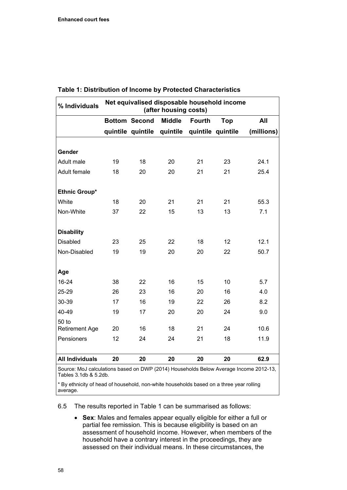| % Individuals          | Net equivalised disposable household income<br>(after housing costs) |                      |               |               |                   |            |
|------------------------|----------------------------------------------------------------------|----------------------|---------------|---------------|-------------------|------------|
|                        |                                                                      | <b>Bottom Second</b> | <b>Middle</b> | <b>Fourth</b> | Top               | All        |
|                        |                                                                      | quintile quintile    | quintile      |               | quintile quintile | (millions) |
|                        |                                                                      |                      |               |               |                   |            |
| Gender                 |                                                                      |                      |               |               |                   |            |
| Adult male             | 19                                                                   | 18                   | 20            | 21            | 23                | 24.1       |
| Adult female           | 18                                                                   | 20                   | 20            | 21            | 21                | 25.4       |
| Ethnic Group*          |                                                                      |                      |               |               |                   |            |
| White                  | 18                                                                   | 20                   | 21            | 21            | 21                | 55.3       |
| Non-White              | 37                                                                   | 22                   | 15            | 13            | 13                | 7.1        |
| <b>Disability</b>      |                                                                      |                      |               |               |                   |            |
| <b>Disabled</b>        | 23                                                                   | 25                   | 22            | 18            | 12                | 12.1       |
| Non-Disabled           | 19                                                                   | 19                   | 20            | 20            | 22                | 50.7       |
| Age                    |                                                                      |                      |               |               |                   |            |
| $16 - 24$              | 38                                                                   | 22                   | 16            | 15            | 10                | 5.7        |
| 25-29                  | 26                                                                   | 23                   | 16            | 20            | 16                | 4.0        |
| 30-39                  | 17                                                                   | 16                   | 19            | 22            | 26                | 8.2        |
| 40-49                  | 19                                                                   | 17                   | 20            | 20            | 24                | 9.0        |
| 50 to                  |                                                                      |                      |               |               |                   |            |
| <b>Retirement Age</b>  | 20                                                                   | 16                   | 18            | 21            | 24                | 10.6       |
| Pensioners             | 12                                                                   | 24                   | 24            | 21            | 18                | 11.9       |
| <b>All Individuals</b> | 20                                                                   | 20                   | 20            | 20            | 20                | 62.9       |

## **Table 1: Distribution of Income by Protected Characteristics**

Source: MoJ calculations based on DWP (2014) Households Below Average Income 2012-13, Tables 3.1db & 5.2db.

\* By ethnicity of head of household, non-white households based on a three year rolling average.

6.5 The results reported in Table 1 can be summarised as follows:

 **Sex**: Males and females appear equally eligible for either a full or partial fee remission. This is because eligibility is based on an assessment of household income. However, when members of the household have a contrary interest in the proceedings, they are assessed on their individual means. In these circumstances, the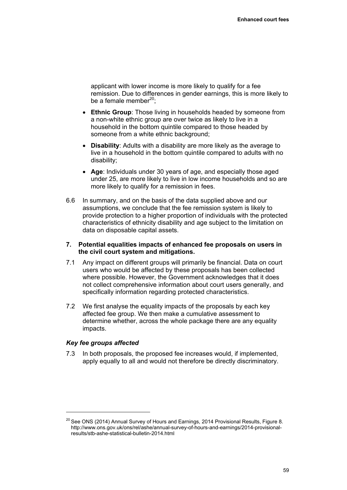applicant with lower income is more likely to qualify for a fee remission. Due to differences in gender earnings, this is more likely to be a female member $^{20}$ :

- **Ethnic Group**: Those living in households headed by someone from a non-white ethnic group are over twice as likely to live in a household in the bottom quintile compared to those headed by someone from a white ethnic background;
- **Disability:** Adults with a disability are more likely as the average to live in a household in the bottom quintile compared to adults with no disability;
- **Age**: Individuals under 30 years of age, and especially those aged under 25, are more likely to live in low income households and so are more likely to qualify for a remission in fees.
- 6.6 In summary, and on the basis of the data supplied above and our assumptions, we conclude that the fee remission system is likely to provide protection to a higher proportion of individuals with the protected characteristics of ethnicity disability and age subject to the limitation on data on disposable capital assets.

## **7. Potential equalities impacts of enhanced fee proposals on users in the civil court system and mitigations.**

- 7.1 Any impact on different groups will primarily be financial. Data on court users who would be affected by these proposals has been collected where possible. However, the Government acknowledges that it does not collect comprehensive information about court users generally, and specifically information regarding protected characteristics.
- 7.2 We first analyse the equality impacts of the proposals by each key affected fee group. We then make a cumulative assessment to determine whether, across the whole package there are any equality impacts.

## *Key fee groups affected*

 $\overline{a}$ 

7.3 In both proposals, the proposed fee increases would, if implemented, apply equally to all and would not therefore be directly discriminatory.

 $20$  See ONS (2014) Annual Survey of Hours and Earnings, 2014 Provisional Results, Figure 8. [http://www.ons.gov.uk/ons/rel/ashe/annual-survey-of-hours-and-earnings/2014-provisional](http://www.ons.gov.uk/ons/rel/ashe/annual-survey-of-hours-and-earnings/2014-provisional-results/stb-ashe-statistical-bulletin-2014.html)[results/stb-ashe-statistical-bulletin-2014.html](http://www.ons.gov.uk/ons/rel/ashe/annual-survey-of-hours-and-earnings/2014-provisional-results/stb-ashe-statistical-bulletin-2014.html)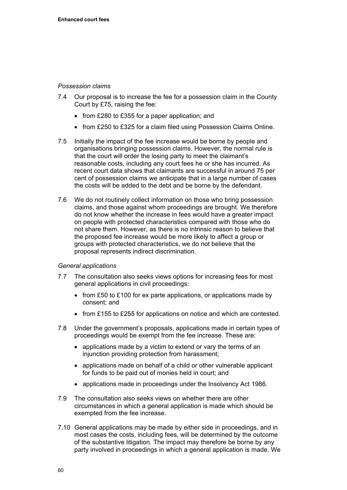## *Possession claims*

- 7.4 Our proposal is to increase the fee for a possession claim in the County Court by £75, raising the fee:
	- from £280 to £355 for a paper application; and
	- from £250 to £325 for a claim filed using Possession Claims Online.
- 7.5 Initially the impact of the fee increase would be borne by people and organisations bringing possession claims. However, the normal rule is that the court will order the losing party to meet the claimant's reasonable costs, including any court fees he or she has incurred. As recent court data shows that claimants are successful in around 75 per cent of possession claims we anticipate that in a large number of cases the costs will be added to the debt and be borne by the defendant.
- 7.6 We do not routinely collect information on those who bring possession claims, and those against whom proceedings are brought. We therefore do not know whether the increase in fees would have a greater impact on people with protected characteristics compared with those who do not share them. However, as there is no intrinsic reason to believe that the proposed fee increase would be more likely to affect a group or groups with protected characteristics, we do not believe that the proposal represents indirect discrimination.

## *General applications*

- 7.7 The consultation also seeks views options for increasing fees for most general applications in civil proceedings:
	- from £50 to £100 for ex parte applications, or applications made by consent; and
	- from £155 to £255 for applications on notice and which are contested.
- 7.8 Under the government's proposals, applications made in certain types of proceedings would be exempt from the fee increase. These are:
	- applications made by a victim to extend or vary the terms of an injunction providing protection from harassment;
	- applications made on behalf of a child or other vulnerable applicant for funds to be paid out of monies held in court; and
	- applications made in proceedings under the Insolvency Act 1986.
- 7.9 The consultation also seeks views on whether there are other circumstances in which a general application is made which should be exempted from the fee increase.
- 7.10 General applications may be made by either side in proceedings, and in most cases the costs, including fees, will be determined by the outcome of the substantive litigation. The impact may therefore be borne by any party involved in proceedings in which a general application is made. We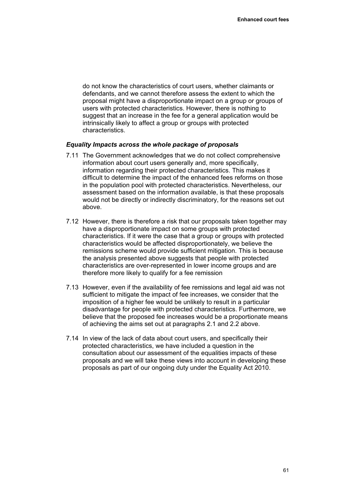do not know the characteristics of court users, whether claimants or defendants, and we cannot therefore assess the extent to which the proposal might have a disproportionate impact on a group or groups of users with protected characteristics. However, there is nothing to suggest that an increase in the fee for a general application would be intrinsically likely to affect a group or groups with protected characteristics.

#### *Equality Impacts across the whole package of proposals*

- 7.11 The Government acknowledges that we do not collect comprehensive information about court users generally and, more specifically, information regarding their protected characteristics. This makes it difficult to determine the impact of the enhanced fees reforms on those in the population pool with protected characteristics. Nevertheless, our assessment based on the information available, is that these proposals would not be directly or indirectly discriminatory, for the reasons set out above.
- 7.12 However, there is therefore a risk that our proposals taken together may have a disproportionate impact on some groups with protected characteristics. If it were the case that a group or groups with protected characteristics would be affected disproportionately, we believe the remissions scheme would provide sufficient mitigation. This is because the analysis presented above suggests that people with protected characteristics are over-represented in lower income groups and are therefore more likely to qualify for a fee remission
- 7.13 However, even if the availability of fee remissions and legal aid was not sufficient to mitigate the impact of fee increases, we consider that the imposition of a higher fee would be unlikely to result in a particular disadvantage for people with protected characteristics. Furthermore, we believe that the proposed fee increases would be a proportionate means of achieving the aims set out at paragraphs 2.1 and 2.2 above.
- 7.14 In view of the lack of data about court users, and specifically their protected characteristics, we have included a question in the consultation about our assessment of the equalities impacts of these proposals and we will take these views into account in developing these proposals as part of our ongoing duty under the Equality Act 2010.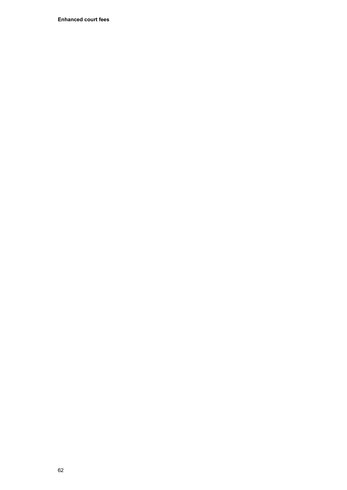**Enhanced court fees**